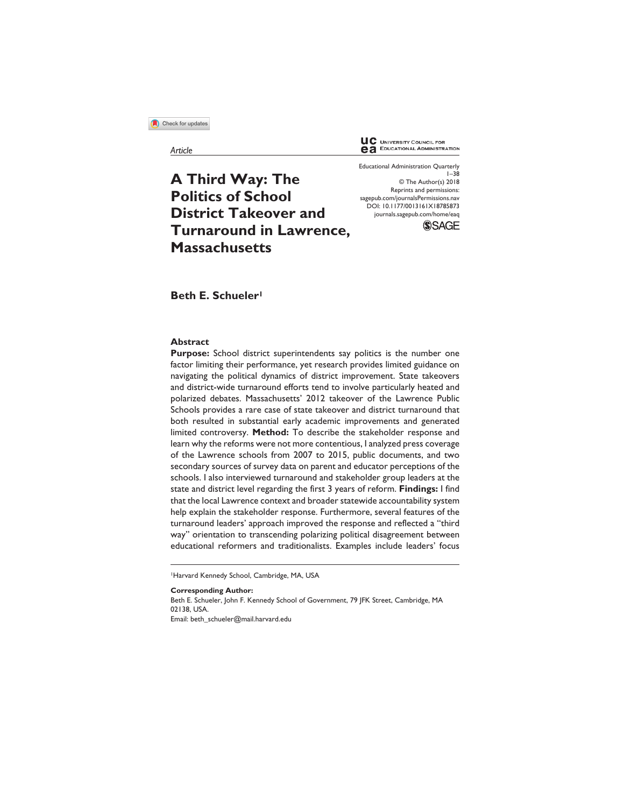**8B** Check for updates

*Article*

UC UNIVERSITY COUNCIL FOR<br>
Ca EDUCATIONAL ADMINISTRATION

# **A Third Way: The Politics of School District Takeover and Turnaround in Lawrence, Massachusetts**

DOI: 10.1177/0013161X18785873 Educational Administration Quarterly 1–38 © The Author(s) 2018 Reprints and permissions: [sagepub.com/journalsPermissions.nav](https://us.sagepub.com/en-us/journals-permissions) [journals.sagepub.com/home/eaq](https://journals.sagepub.com/home/eaq)

**SSAGE** 

# **Beth E. Schueler1**

# **Abstract**

Purpose: School district superintendents say politics is the number one factor limiting their performance, yet research provides limited guidance on navigating the political dynamics of district improvement. State takeovers and district-wide turnaround efforts tend to involve particularly heated and polarized debates. Massachusetts' 2012 takeover of the Lawrence Public Schools provides a rare case of state takeover and district turnaround that both resulted in substantial early academic improvements and generated limited controversy. **Method:** To describe the stakeholder response and learn why the reforms were not more contentious, I analyzed press coverage of the Lawrence schools from 2007 to 2015, public documents, and two secondary sources of survey data on parent and educator perceptions of the schools. I also interviewed turnaround and stakeholder group leaders at the state and district level regarding the first 3 years of reform. **Findings:** I find that the local Lawrence context and broader statewide accountability system help explain the stakeholder response. Furthermore, several features of the turnaround leaders' approach improved the response and reflected a "third way" orientation to transcending polarizing political disagreement between educational reformers and traditionalists. Examples include leaders' focus

**Corresponding Author:**

Beth E. Schueler, John F. Kennedy School of Government, 79 JFK Street, Cambridge, MA 02138, USA. Email: [beth\\_schueler@mail.harvard.edu](mailto:beth_schueler@mail.harvard.edu)

<sup>1</sup>Harvard Kennedy School, Cambridge, MA, USA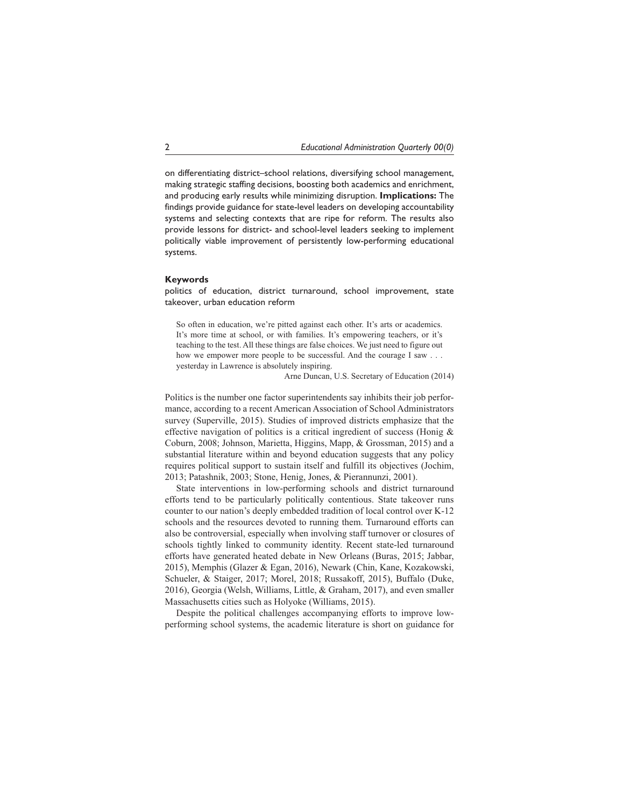on differentiating district–school relations, diversifying school management, making strategic staffing decisions, boosting both academics and enrichment, and producing early results while minimizing disruption. **Implications:** The findings provide guidance for state-level leaders on developing accountability systems and selecting contexts that are ripe for reform. The results also provide lessons for district- and school-level leaders seeking to implement politically viable improvement of persistently low-performing educational systems.

### **Keywords**

politics of education, district turnaround, school improvement, state takeover, urban education reform

So often in education, we're pitted against each other. It's arts or academics. It's more time at school, or with families. It's empowering teachers, or it's teaching to the test. All these things are false choices. We just need to figure out how we empower more people to be successful. And the courage I saw . . . yesterday in Lawrence is absolutely inspiring.

Arne Duncan, U.S. Secretary of Education (2014)

Politics is the number one factor superintendents say inhibits their job performance, according to a recent American Association of School Administrators survey (Superville, 2015). Studies of improved districts emphasize that the effective navigation of politics is a critical ingredient of success (Honig & Coburn, 2008; Johnson, Marietta, Higgins, Mapp, & Grossman, 2015) and a substantial literature within and beyond education suggests that any policy requires political support to sustain itself and fulfill its objectives (Jochim, 2013; Patashnik, 2003; Stone, Henig, Jones, & Pierannunzi, 2001).

State interventions in low-performing schools and district turnaround efforts tend to be particularly politically contentious. State takeover runs counter to our nation's deeply embedded tradition of local control over K-12 schools and the resources devoted to running them. Turnaround efforts can also be controversial, especially when involving staff turnover or closures of schools tightly linked to community identity. Recent state-led turnaround efforts have generated heated debate in New Orleans (Buras, 2015; Jabbar, 2015), Memphis (Glazer & Egan, 2016), Newark (Chin, Kane, Kozakowski, Schueler, & Staiger, 2017; Morel, 2018; Russakoff, 2015), Buffalo (Duke, 2016), Georgia (Welsh, Williams, Little, & Graham, 2017), and even smaller Massachusetts cities such as Holyoke (Williams, 2015).

Despite the political challenges accompanying efforts to improve lowperforming school systems, the academic literature is short on guidance for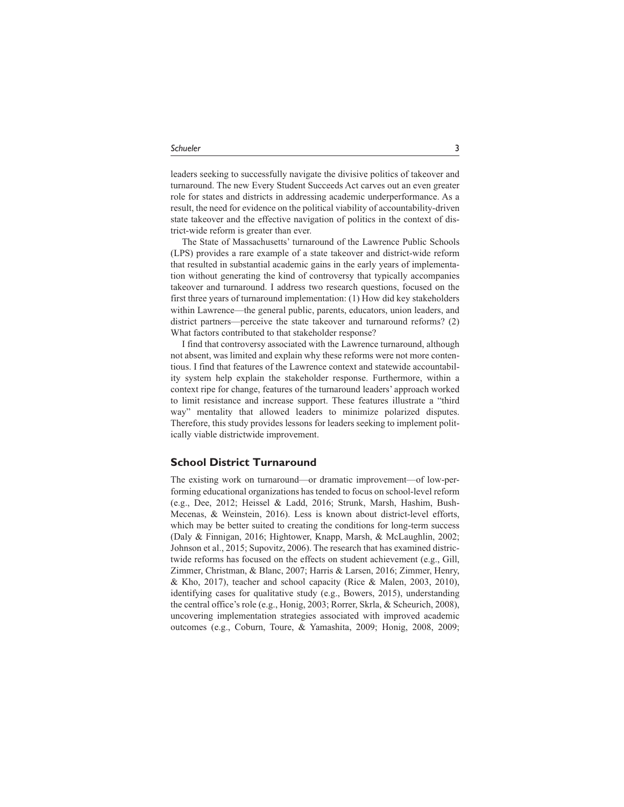leaders seeking to successfully navigate the divisive politics of takeover and turnaround. The new Every Student Succeeds Act carves out an even greater role for states and districts in addressing academic underperformance. As a result, the need for evidence on the political viability of accountability-driven state takeover and the effective navigation of politics in the context of district-wide reform is greater than ever.

The State of Massachusetts' turnaround of the Lawrence Public Schools (LPS) provides a rare example of a state takeover and district-wide reform that resulted in substantial academic gains in the early years of implementation without generating the kind of controversy that typically accompanies takeover and turnaround. I address two research questions, focused on the first three years of turnaround implementation: (1) How did key stakeholders within Lawrence—the general public, parents, educators, union leaders, and district partners—perceive the state takeover and turnaround reforms? (2) What factors contributed to that stakeholder response?

I find that controversy associated with the Lawrence turnaround, although not absent, was limited and explain why these reforms were not more contentious. I find that features of the Lawrence context and statewide accountability system help explain the stakeholder response. Furthermore, within a context ripe for change, features of the turnaround leaders' approach worked to limit resistance and increase support. These features illustrate a "third way" mentality that allowed leaders to minimize polarized disputes. Therefore, this study provides lessons for leaders seeking to implement politically viable districtwide improvement.

### **School District Turnaround**

The existing work on turnaround—or dramatic improvement—of low-performing educational organizations has tended to focus on school-level reform (e.g., Dee, 2012; Heissel & Ladd, 2016; Strunk, Marsh, Hashim, Bush-Mecenas, & Weinstein, 2016). Less is known about district-level efforts, which may be better suited to creating the conditions for long-term success (Daly & Finnigan, 2016; Hightower, Knapp, Marsh, & McLaughlin, 2002; Johnson et al., 2015; Supovitz, 2006). The research that has examined districtwide reforms has focused on the effects on student achievement (e.g., Gill, Zimmer, Christman, & Blanc, 2007; Harris & Larsen, 2016; Zimmer, Henry, & Kho, 2017), teacher and school capacity (Rice & Malen, 2003, 2010), identifying cases for qualitative study (e.g., Bowers, 2015), understanding the central office's role (e.g., Honig, 2003; Rorrer, Skrla, & Scheurich, 2008), uncovering implementation strategies associated with improved academic outcomes (e.g., Coburn, Toure, & Yamashita, 2009; Honig, 2008, 2009;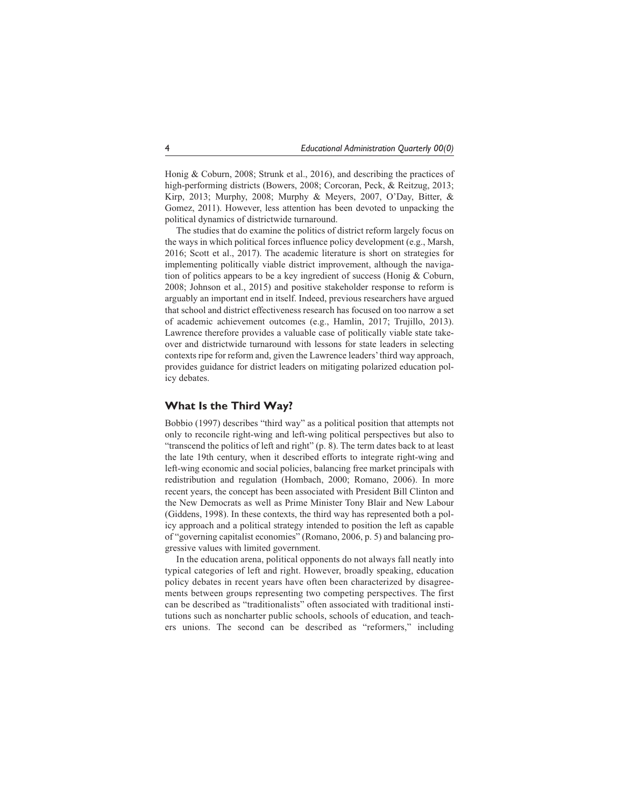Honig & Coburn, 2008; Strunk et al., 2016), and describing the practices of high-performing districts (Bowers, 2008; Corcoran, Peck, & Reitzug, 2013; Kirp, 2013; Murphy, 2008; Murphy & Meyers, 2007, O'Day, Bitter, & Gomez, 2011). However, less attention has been devoted to unpacking the political dynamics of districtwide turnaround.

The studies that do examine the politics of district reform largely focus on the ways in which political forces influence policy development (e.g., Marsh, 2016; Scott et al., 2017). The academic literature is short on strategies for implementing politically viable district improvement, although the navigation of politics appears to be a key ingredient of success (Honig & Coburn, 2008; Johnson et al., 2015) and positive stakeholder response to reform is arguably an important end in itself. Indeed, previous researchers have argued that school and district effectiveness research has focused on too narrow a set of academic achievement outcomes (e.g., Hamlin, 2017; Trujillo, 2013). Lawrence therefore provides a valuable case of politically viable state takeover and districtwide turnaround with lessons for state leaders in selecting contexts ripe for reform and, given the Lawrence leaders' third way approach, provides guidance for district leaders on mitigating polarized education policy debates.

### **What Is the Third Way?**

Bobbio (1997) describes "third way" as a political position that attempts not only to reconcile right-wing and left-wing political perspectives but also to "transcend the politics of left and right" (p. 8). The term dates back to at least the late 19th century, when it described efforts to integrate right-wing and left-wing economic and social policies, balancing free market principals with redistribution and regulation (Hombach, 2000; Romano, 2006). In more recent years, the concept has been associated with President Bill Clinton and the New Democrats as well as Prime Minister Tony Blair and New Labour (Giddens, 1998). In these contexts, the third way has represented both a policy approach and a political strategy intended to position the left as capable of "governing capitalist economies" (Romano, 2006, p. 5) and balancing progressive values with limited government.

In the education arena, political opponents do not always fall neatly into typical categories of left and right. However, broadly speaking, education policy debates in recent years have often been characterized by disagreements between groups representing two competing perspectives. The first can be described as "traditionalists" often associated with traditional institutions such as noncharter public schools, schools of education, and teachers unions. The second can be described as "reformers," including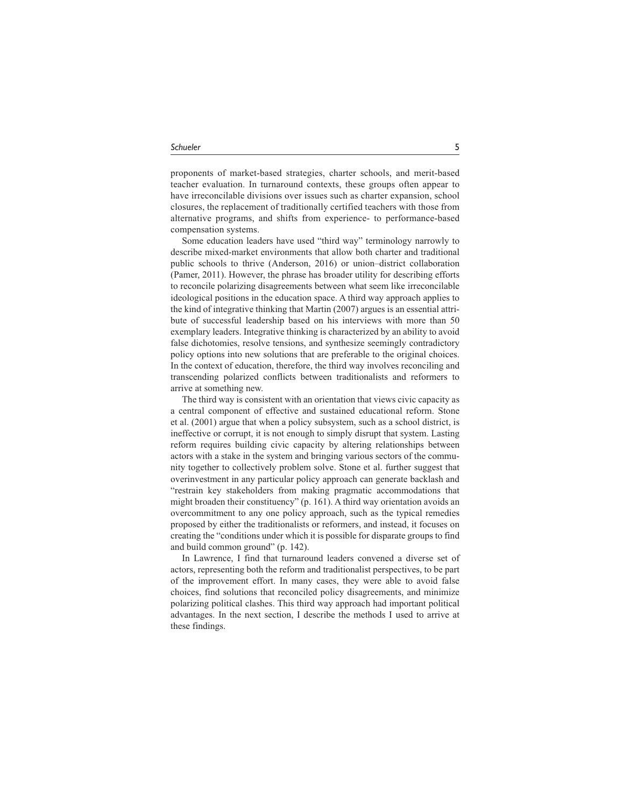proponents of market-based strategies, charter schools, and merit-based teacher evaluation. In turnaround contexts, these groups often appear to have irreconcilable divisions over issues such as charter expansion, school closures, the replacement of traditionally certified teachers with those from alternative programs, and shifts from experience- to performance-based compensation systems.

Some education leaders have used "third way" terminology narrowly to describe mixed-market environments that allow both charter and traditional public schools to thrive (Anderson, 2016) or union–district collaboration (Pamer, 2011). However, the phrase has broader utility for describing efforts to reconcile polarizing disagreements between what seem like irreconcilable ideological positions in the education space. A third way approach applies to the kind of integrative thinking that Martin (2007) argues is an essential attribute of successful leadership based on his interviews with more than 50 exemplary leaders. Integrative thinking is characterized by an ability to avoid false dichotomies, resolve tensions, and synthesize seemingly contradictory policy options into new solutions that are preferable to the original choices. In the context of education, therefore, the third way involves reconciling and transcending polarized conflicts between traditionalists and reformers to arrive at something new.

The third way is consistent with an orientation that views civic capacity as a central component of effective and sustained educational reform. Stone et al. (2001) argue that when a policy subsystem, such as a school district, is ineffective or corrupt, it is not enough to simply disrupt that system. Lasting reform requires building civic capacity by altering relationships between actors with a stake in the system and bringing various sectors of the community together to collectively problem solve. Stone et al. further suggest that overinvestment in any particular policy approach can generate backlash and "restrain key stakeholders from making pragmatic accommodations that might broaden their constituency" (p. 161). A third way orientation avoids an overcommitment to any one policy approach, such as the typical remedies proposed by either the traditionalists or reformers, and instead, it focuses on creating the "conditions under which it is possible for disparate groups to find and build common ground" (p. 142).

In Lawrence, I find that turnaround leaders convened a diverse set of actors, representing both the reform and traditionalist perspectives, to be part of the improvement effort. In many cases, they were able to avoid false choices, find solutions that reconciled policy disagreements, and minimize polarizing political clashes. This third way approach had important political advantages. In the next section, I describe the methods I used to arrive at these findings.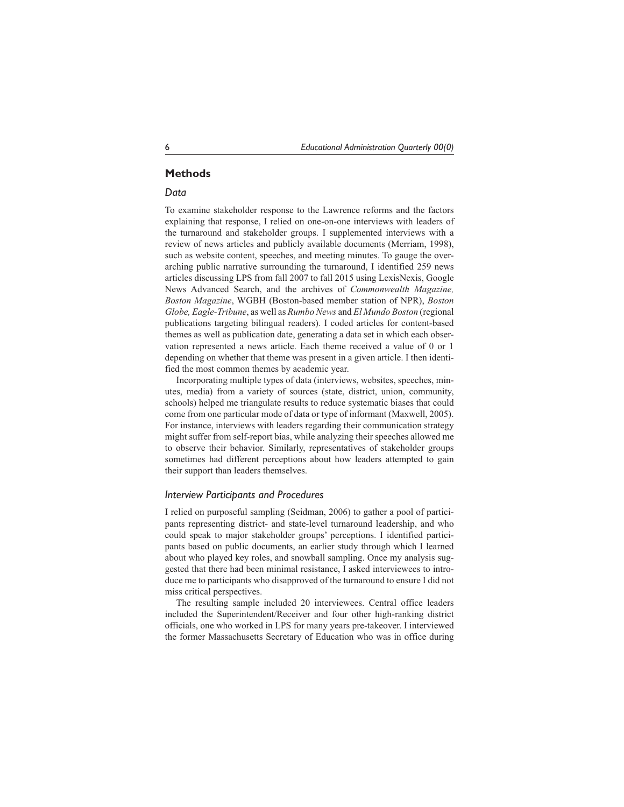# **Methods**

### *Data*

To examine stakeholder response to the Lawrence reforms and the factors explaining that response, I relied on one-on-one interviews with leaders of the turnaround and stakeholder groups. I supplemented interviews with a review of news articles and publicly available documents (Merriam, 1998), such as website content, speeches, and meeting minutes. To gauge the overarching public narrative surrounding the turnaround, I identified 259 news articles discussing LPS from fall 2007 to fall 2015 using LexisNexis, Google News Advanced Search, and the archives of *Commonwealth Magazine, Boston Magazine*, WGBH (Boston-based member station of NPR), *Boston Globe, Eagle-Tribune*, as well as *Rumbo News* and *El Mundo Boston* (regional publications targeting bilingual readers). I coded articles for content-based themes as well as publication date, generating a data set in which each observation represented a news article. Each theme received a value of 0 or 1 depending on whether that theme was present in a given article. I then identified the most common themes by academic year.

Incorporating multiple types of data (interviews, websites, speeches, minutes, media) from a variety of sources (state, district, union, community, schools) helped me triangulate results to reduce systematic biases that could come from one particular mode of data or type of informant (Maxwell, 2005). For instance, interviews with leaders regarding their communication strategy might suffer from self-report bias, while analyzing their speeches allowed me to observe their behavior. Similarly, representatives of stakeholder groups sometimes had different perceptions about how leaders attempted to gain their support than leaders themselves.

### *Interview Participants and Procedures*

I relied on purposeful sampling (Seidman, 2006) to gather a pool of participants representing district- and state-level turnaround leadership, and who could speak to major stakeholder groups' perceptions. I identified participants based on public documents, an earlier study through which I learned about who played key roles, and snowball sampling. Once my analysis suggested that there had been minimal resistance, I asked interviewees to introduce me to participants who disapproved of the turnaround to ensure I did not miss critical perspectives.

The resulting sample included 20 interviewees. Central office leaders included the Superintendent/Receiver and four other high-ranking district officials, one who worked in LPS for many years pre-takeover. I interviewed the former Massachusetts Secretary of Education who was in office during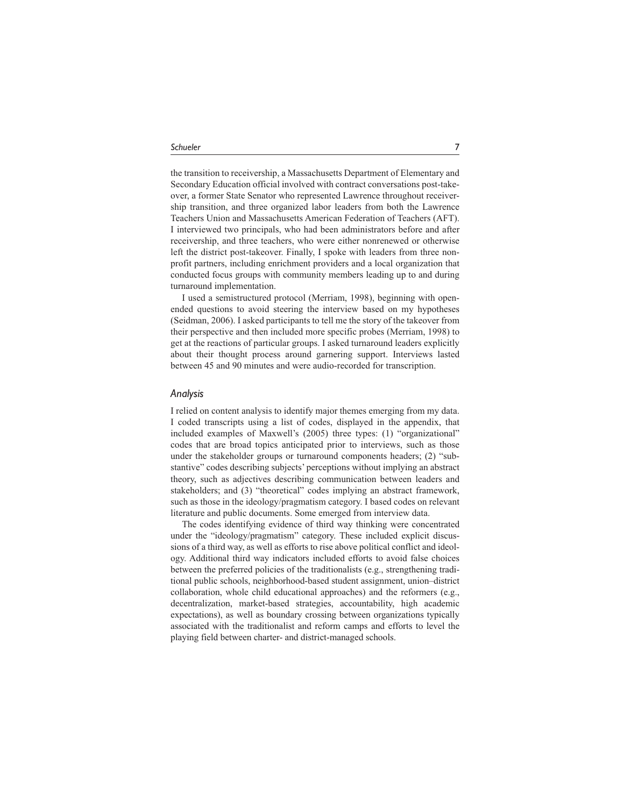the transition to receivership, a Massachusetts Department of Elementary and Secondary Education official involved with contract conversations post-takeover, a former State Senator who represented Lawrence throughout receivership transition, and three organized labor leaders from both the Lawrence Teachers Union and Massachusetts American Federation of Teachers (AFT). I interviewed two principals, who had been administrators before and after receivership, and three teachers, who were either nonrenewed or otherwise left the district post-takeover. Finally, I spoke with leaders from three nonprofit partners, including enrichment providers and a local organization that conducted focus groups with community members leading up to and during turnaround implementation.

I used a semistructured protocol (Merriam, 1998), beginning with openended questions to avoid steering the interview based on my hypotheses (Seidman, 2006). I asked participants to tell me the story of the takeover from their perspective and then included more specific probes (Merriam, 1998) to get at the reactions of particular groups. I asked turnaround leaders explicitly about their thought process around garnering support. Interviews lasted between 45 and 90 minutes and were audio-recorded for transcription.

# *Analysis*

I relied on content analysis to identify major themes emerging from my data. I coded transcripts using a list of codes, displayed in the appendix, that included examples of Maxwell's (2005) three types: (1) "organizational" codes that are broad topics anticipated prior to interviews, such as those under the stakeholder groups or turnaround components headers; (2) "substantive" codes describing subjects' perceptions without implying an abstract theory, such as adjectives describing communication between leaders and stakeholders; and (3) "theoretical" codes implying an abstract framework, such as those in the ideology/pragmatism category. I based codes on relevant literature and public documents. Some emerged from interview data.

The codes identifying evidence of third way thinking were concentrated under the "ideology/pragmatism" category. These included explicit discussions of a third way, as well as efforts to rise above political conflict and ideology. Additional third way indicators included efforts to avoid false choices between the preferred policies of the traditionalists (e.g., strengthening traditional public schools, neighborhood-based student assignment, union–district collaboration, whole child educational approaches) and the reformers (e.g., decentralization, market-based strategies, accountability, high academic expectations), as well as boundary crossing between organizations typically associated with the traditionalist and reform camps and efforts to level the playing field between charter- and district-managed schools.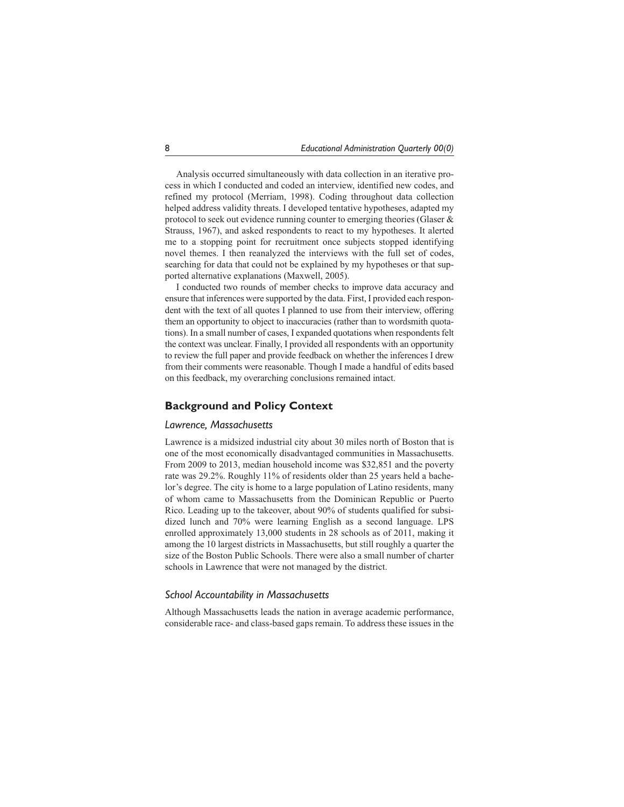Analysis occurred simultaneously with data collection in an iterative process in which I conducted and coded an interview, identified new codes, and refined my protocol (Merriam, 1998). Coding throughout data collection helped address validity threats. I developed tentative hypotheses, adapted my protocol to seek out evidence running counter to emerging theories (Glaser & Strauss, 1967), and asked respondents to react to my hypotheses. It alerted me to a stopping point for recruitment once subjects stopped identifying novel themes. I then reanalyzed the interviews with the full set of codes, searching for data that could not be explained by my hypotheses or that supported alternative explanations (Maxwell, 2005).

I conducted two rounds of member checks to improve data accuracy and ensure that inferences were supported by the data. First, I provided each respondent with the text of all quotes I planned to use from their interview, offering them an opportunity to object to inaccuracies (rather than to wordsmith quotations). In a small number of cases, I expanded quotations when respondents felt the context was unclear. Finally, I provided all respondents with an opportunity to review the full paper and provide feedback on whether the inferences I drew from their comments were reasonable. Though I made a handful of edits based on this feedback, my overarching conclusions remained intact.

### **Background and Policy Context**

### *Lawrence, Massachusetts*

Lawrence is a midsized industrial city about 30 miles north of Boston that is one of the most economically disadvantaged communities in Massachusetts. From 2009 to 2013, median household income was \$32,851 and the poverty rate was 29.2%. Roughly 11% of residents older than 25 years held a bachelor's degree. The city is home to a large population of Latino residents, many of whom came to Massachusetts from the Dominican Republic or Puerto Rico. Leading up to the takeover, about 90% of students qualified for subsidized lunch and 70% were learning English as a second language. LPS enrolled approximately 13,000 students in 28 schools as of 2011, making it among the 10 largest districts in Massachusetts, but still roughly a quarter the size of the Boston Public Schools. There were also a small number of charter schools in Lawrence that were not managed by the district.

### *School Accountability in Massachusetts*

Although Massachusetts leads the nation in average academic performance, considerable race- and class-based gaps remain. To address these issues in the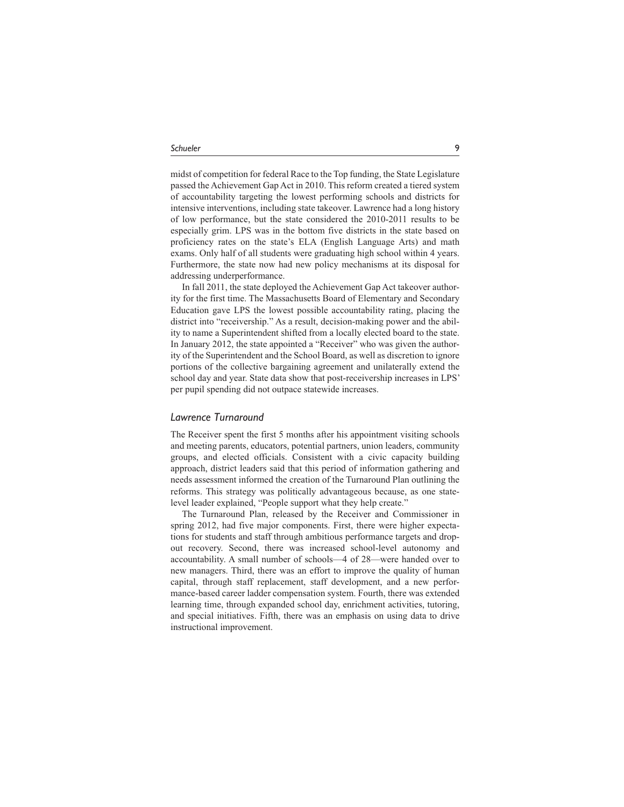midst of competition for federal Race to the Top funding, the State Legislature passed the Achievement Gap Act in 2010. This reform created a tiered system of accountability targeting the lowest performing schools and districts for intensive interventions, including state takeover. Lawrence had a long history of low performance, but the state considered the 2010-2011 results to be especially grim. LPS was in the bottom five districts in the state based on proficiency rates on the state's ELA (English Language Arts) and math exams. Only half of all students were graduating high school within 4 years. Furthermore, the state now had new policy mechanisms at its disposal for addressing underperformance.

In fall 2011, the state deployed the Achievement Gap Act takeover authority for the first time. The Massachusetts Board of Elementary and Secondary Education gave LPS the lowest possible accountability rating, placing the district into "receivership." As a result, decision-making power and the ability to name a Superintendent shifted from a locally elected board to the state. In January 2012, the state appointed a "Receiver" who was given the authority of the Superintendent and the School Board, as well as discretion to ignore portions of the collective bargaining agreement and unilaterally extend the school day and year. State data show that post-receivership increases in LPS' per pupil spending did not outpace statewide increases.

# *Lawrence Turnaround*

The Receiver spent the first 5 months after his appointment visiting schools and meeting parents, educators, potential partners, union leaders, community groups, and elected officials. Consistent with a civic capacity building approach, district leaders said that this period of information gathering and needs assessment informed the creation of the Turnaround Plan outlining the reforms. This strategy was politically advantageous because, as one statelevel leader explained, "People support what they help create."

The Turnaround Plan, released by the Receiver and Commissioner in spring 2012, had five major components. First, there were higher expectations for students and staff through ambitious performance targets and dropout recovery. Second, there was increased school-level autonomy and accountability. A small number of schools—4 of 28—were handed over to new managers. Third, there was an effort to improve the quality of human capital, through staff replacement, staff development, and a new performance-based career ladder compensation system. Fourth, there was extended learning time, through expanded school day, enrichment activities, tutoring, and special initiatives. Fifth, there was an emphasis on using data to drive instructional improvement.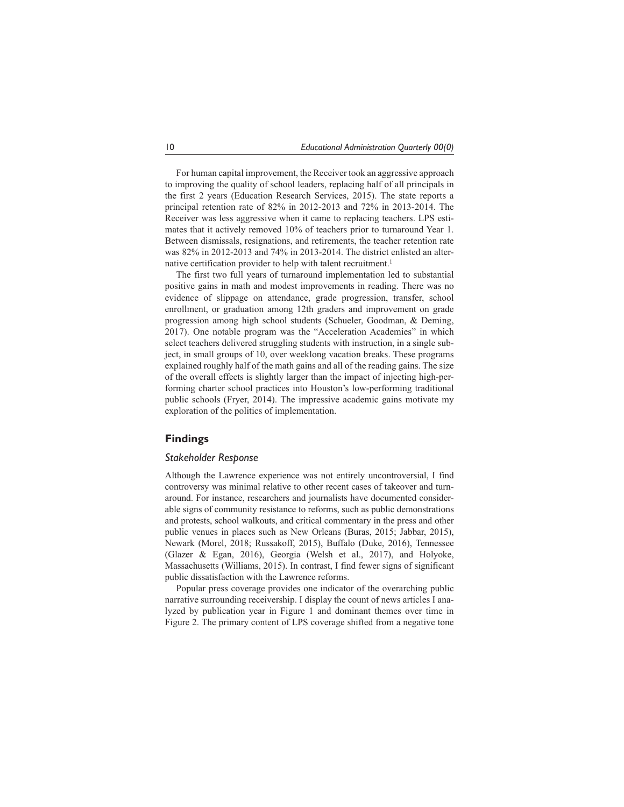For human capital improvement, the Receiver took an aggressive approach to improving the quality of school leaders, replacing half of all principals in the first 2 years (Education Research Services, 2015). The state reports a principal retention rate of 82% in 2012-2013 and 72% in 2013-2014. The Receiver was less aggressive when it came to replacing teachers. LPS estimates that it actively removed 10% of teachers prior to turnaround Year 1. Between dismissals, resignations, and retirements, the teacher retention rate was 82% in 2012-2013 and 74% in 2013-2014. The district enlisted an alternative certification provider to help with talent recruitment.<sup>1</sup>

The first two full years of turnaround implementation led to substantial positive gains in math and modest improvements in reading. There was no evidence of slippage on attendance, grade progression, transfer, school enrollment, or graduation among 12th graders and improvement on grade progression among high school students (Schueler, Goodman, & Deming, 2017). One notable program was the "Acceleration Academies" in which select teachers delivered struggling students with instruction, in a single subject, in small groups of 10, over weeklong vacation breaks. These programs explained roughly half of the math gains and all of the reading gains. The size of the overall effects is slightly larger than the impact of injecting high-performing charter school practices into Houston's low-performing traditional public schools (Fryer, 2014). The impressive academic gains motivate my exploration of the politics of implementation.

# **Findings**

### *Stakeholder Response*

Although the Lawrence experience was not entirely uncontroversial, I find controversy was minimal relative to other recent cases of takeover and turnaround. For instance, researchers and journalists have documented considerable signs of community resistance to reforms, such as public demonstrations and protests, school walkouts, and critical commentary in the press and other public venues in places such as New Orleans (Buras, 2015; Jabbar, 2015), Newark (Morel, 2018; Russakoff, 2015), Buffalo (Duke, 2016), Tennessee (Glazer & Egan, 2016), Georgia (Welsh et al., 2017), and Holyoke, Massachusetts (Williams, 2015). In contrast, I find fewer signs of significant public dissatisfaction with the Lawrence reforms.

Popular press coverage provides one indicator of the overarching public narrative surrounding receivership. I display the count of news articles I analyzed by publication year in Figure 1 and dominant themes over time in Figure 2. The primary content of LPS coverage shifted from a negative tone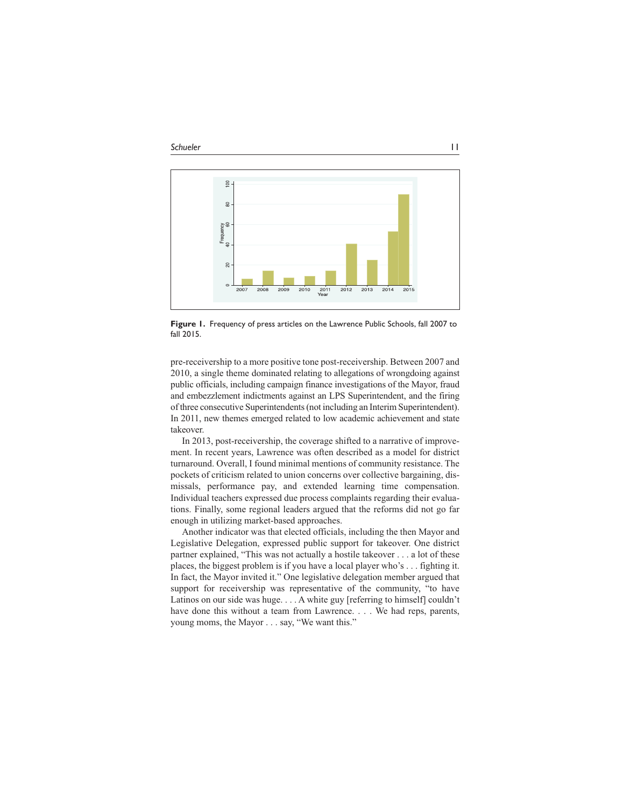



**Figure 1.** Frequency of press articles on the Lawrence Public Schools, fall 2007 to fall 2015.

pre-receivership to a more positive tone post-receivership. Between 2007 and 2010, a single theme dominated relating to allegations of wrongdoing against public officials, including campaign finance investigations of the Mayor, fraud and embezzlement indictments against an LPS Superintendent, and the firing of three consecutive Superintendents (not including an Interim Superintendent). In 2011, new themes emerged related to low academic achievement and state takeover.

In 2013, post-receivership, the coverage shifted to a narrative of improvement. In recent years, Lawrence was often described as a model for district turnaround. Overall, I found minimal mentions of community resistance. The pockets of criticism related to union concerns over collective bargaining, dismissals, performance pay, and extended learning time compensation. Individual teachers expressed due process complaints regarding their evaluations. Finally, some regional leaders argued that the reforms did not go far enough in utilizing market-based approaches.

Another indicator was that elected officials, including the then Mayor and Legislative Delegation, expressed public support for takeover. One district partner explained, "This was not actually a hostile takeover . . . a lot of these places, the biggest problem is if you have a local player who's . . . fighting it. In fact, the Mayor invited it." One legislative delegation member argued that support for receivership was representative of the community, "to have Latinos on our side was huge. . . . A white guy [referring to himself] couldn't have done this without a team from Lawrence. . . . We had reps, parents, young moms, the Mayor . . . say, "We want this."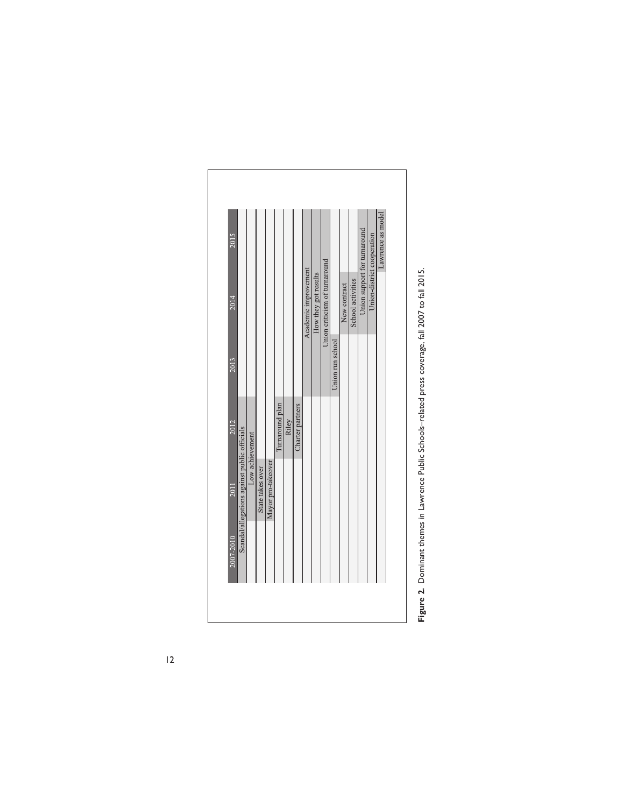| 2015<br>2014 |                                              |                 |                  |                    |                 |       |                  | Academic improvement | How they got results | Union criticism of turnaround |                  | New contract | School activities | Union support for turnaround | Union-district cooperation | Lawrence as model |
|--------------|----------------------------------------------|-----------------|------------------|--------------------|-----------------|-------|------------------|----------------------|----------------------|-------------------------------|------------------|--------------|-------------------|------------------------------|----------------------------|-------------------|
| 2013         |                                              |                 |                  |                    |                 |       |                  |                      |                      |                               | Union run school |              |                   |                              |                            |                   |
| 2012         |                                              |                 |                  |                    | Turnaround plan | Riley | Charter partners |                      |                      |                               |                  |              |                   |                              |                            |                   |
| 2011         | Scandal/allegations against public officials | Low-achievement | State takes over | Mayor pro-takeover |                 |       |                  |                      |                      |                               |                  |              |                   |                              |                            |                   |
| 2007-2010    |                                              |                 |                  |                    |                 |       |                  |                      |                      |                               |                  |              |                   |                              |                            |                   |

Figure 2. Dominant themes in Lawrence Public Schools-related press coverage, fall 2007 to fall 2015. **Figure 2.** Dominant themes in Lawrence Public Schools–related press coverage, fall 2007 to fall 2015.

ן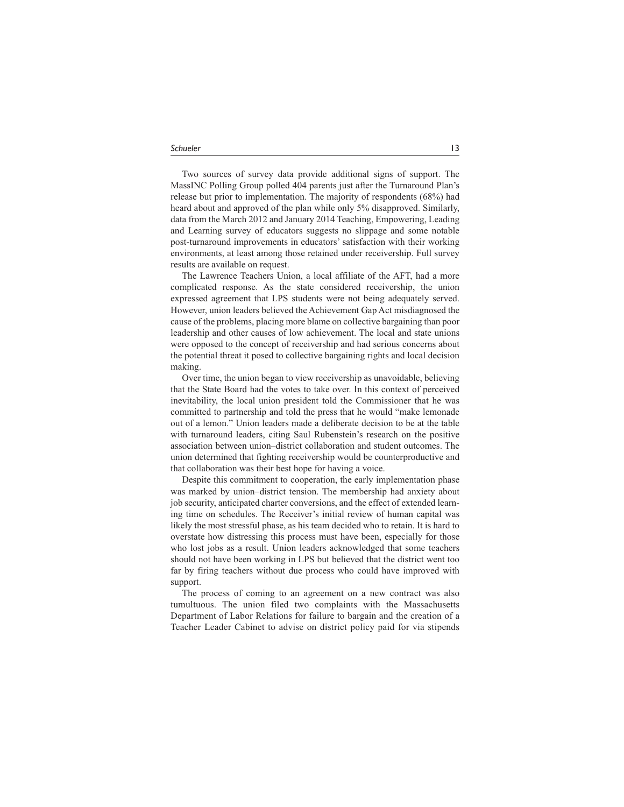Two sources of survey data provide additional signs of support. The MassINC Polling Group polled 404 parents just after the Turnaround Plan's release but prior to implementation. The majority of respondents (68%) had heard about and approved of the plan while only 5% disapproved. Similarly, data from the March 2012 and January 2014 Teaching, Empowering, Leading and Learning survey of educators suggests no slippage and some notable post-turnaround improvements in educators' satisfaction with their working environments, at least among those retained under receivership. Full survey results are available on request.

The Lawrence Teachers Union, a local affiliate of the AFT, had a more complicated response. As the state considered receivership, the union expressed agreement that LPS students were not being adequately served. However, union leaders believed the Achievement Gap Act misdiagnosed the cause of the problems, placing more blame on collective bargaining than poor leadership and other causes of low achievement. The local and state unions were opposed to the concept of receivership and had serious concerns about the potential threat it posed to collective bargaining rights and local decision making.

Over time, the union began to view receivership as unavoidable, believing that the State Board had the votes to take over. In this context of perceived inevitability, the local union president told the Commissioner that he was committed to partnership and told the press that he would "make lemonade out of a lemon." Union leaders made a deliberate decision to be at the table with turnaround leaders, citing Saul Rubenstein's research on the positive association between union–district collaboration and student outcomes. The union determined that fighting receivership would be counterproductive and that collaboration was their best hope for having a voice.

Despite this commitment to cooperation, the early implementation phase was marked by union–district tension. The membership had anxiety about job security, anticipated charter conversions, and the effect of extended learning time on schedules. The Receiver's initial review of human capital was likely the most stressful phase, as his team decided who to retain. It is hard to overstate how distressing this process must have been, especially for those who lost jobs as a result. Union leaders acknowledged that some teachers should not have been working in LPS but believed that the district went too far by firing teachers without due process who could have improved with support.

The process of coming to an agreement on a new contract was also tumultuous. The union filed two complaints with the Massachusetts Department of Labor Relations for failure to bargain and the creation of a Teacher Leader Cabinet to advise on district policy paid for via stipends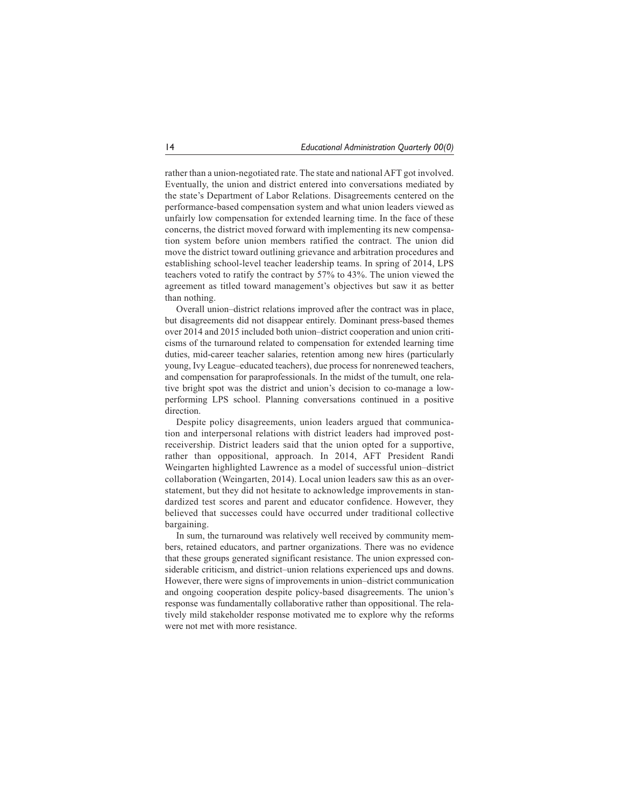rather than a union-negotiated rate. The state and national AFT got involved. Eventually, the union and district entered into conversations mediated by the state's Department of Labor Relations. Disagreements centered on the performance-based compensation system and what union leaders viewed as unfairly low compensation for extended learning time. In the face of these concerns, the district moved forward with implementing its new compensation system before union members ratified the contract. The union did move the district toward outlining grievance and arbitration procedures and establishing school-level teacher leadership teams. In spring of 2014, LPS teachers voted to ratify the contract by 57% to 43%. The union viewed the agreement as titled toward management's objectives but saw it as better than nothing.

Overall union–district relations improved after the contract was in place, but disagreements did not disappear entirely. Dominant press-based themes over 2014 and 2015 included both union–district cooperation and union criticisms of the turnaround related to compensation for extended learning time duties, mid-career teacher salaries, retention among new hires (particularly young, Ivy League–educated teachers), due process for nonrenewed teachers, and compensation for paraprofessionals. In the midst of the tumult, one relative bright spot was the district and union's decision to co-manage a lowperforming LPS school. Planning conversations continued in a positive direction.

Despite policy disagreements, union leaders argued that communication and interpersonal relations with district leaders had improved postreceivership. District leaders said that the union opted for a supportive, rather than oppositional, approach. In 2014, AFT President Randi Weingarten highlighted Lawrence as a model of successful union–district collaboration (Weingarten, 2014). Local union leaders saw this as an overstatement, but they did not hesitate to acknowledge improvements in standardized test scores and parent and educator confidence. However, they believed that successes could have occurred under traditional collective bargaining.

In sum, the turnaround was relatively well received by community members, retained educators, and partner organizations. There was no evidence that these groups generated significant resistance. The union expressed considerable criticism, and district–union relations experienced ups and downs. However, there were signs of improvements in union–district communication and ongoing cooperation despite policy-based disagreements. The union's response was fundamentally collaborative rather than oppositional. The relatively mild stakeholder response motivated me to explore why the reforms were not met with more resistance.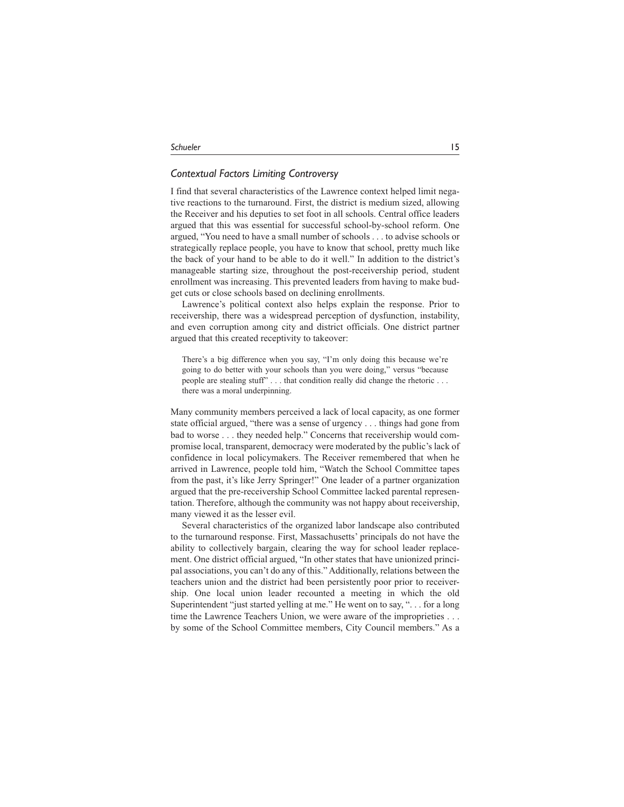# *Contextual Factors Limiting Controversy*

I find that several characteristics of the Lawrence context helped limit negative reactions to the turnaround. First, the district is medium sized, allowing the Receiver and his deputies to set foot in all schools. Central office leaders argued that this was essential for successful school-by-school reform. One argued, "You need to have a small number of schools . . . to advise schools or strategically replace people, you have to know that school, pretty much like the back of your hand to be able to do it well." In addition to the district's manageable starting size, throughout the post-receivership period, student enrollment was increasing. This prevented leaders from having to make budget cuts or close schools based on declining enrollments.

Lawrence's political context also helps explain the response. Prior to receivership, there was a widespread perception of dysfunction, instability, and even corruption among city and district officials. One district partner argued that this created receptivity to takeover:

There's a big difference when you say, "I'm only doing this because we're going to do better with your schools than you were doing," versus "because people are stealing stuff" . . . that condition really did change the rhetoric . . . there was a moral underpinning.

Many community members perceived a lack of local capacity, as one former state official argued, "there was a sense of urgency . . . things had gone from bad to worse . . . they needed help." Concerns that receivership would compromise local, transparent, democracy were moderated by the public's lack of confidence in local policymakers. The Receiver remembered that when he arrived in Lawrence, people told him, "Watch the School Committee tapes from the past, it's like Jerry Springer!" One leader of a partner organization argued that the pre-receivership School Committee lacked parental representation. Therefore, although the community was not happy about receivership, many viewed it as the lesser evil.

Several characteristics of the organized labor landscape also contributed to the turnaround response. First, Massachusetts' principals do not have the ability to collectively bargain, clearing the way for school leader replacement. One district official argued, "In other states that have unionized principal associations, you can't do any of this." Additionally, relations between the teachers union and the district had been persistently poor prior to receivership. One local union leader recounted a meeting in which the old Superintendent "just started yelling at me." He went on to say, ". . . for a long time the Lawrence Teachers Union, we were aware of the improprieties . . . by some of the School Committee members, City Council members." As a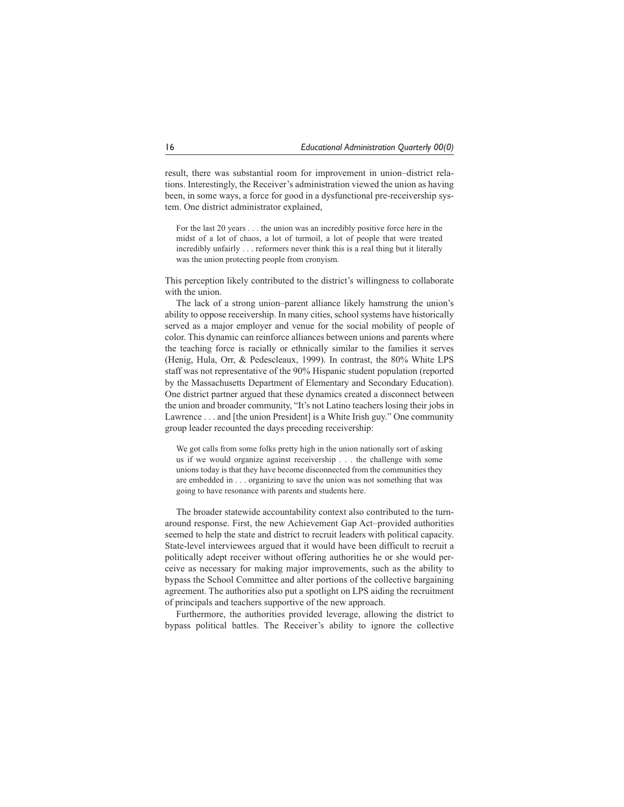result, there was substantial room for improvement in union–district relations. Interestingly, the Receiver's administration viewed the union as having been, in some ways, a force for good in a dysfunctional pre-receivership system. One district administrator explained,

For the last 20 years . . . the union was an incredibly positive force here in the midst of a lot of chaos, a lot of turmoil, a lot of people that were treated incredibly unfairly . . . reformers never think this is a real thing but it literally was the union protecting people from cronyism.

This perception likely contributed to the district's willingness to collaborate with the union.

The lack of a strong union–parent alliance likely hamstrung the union's ability to oppose receivership. In many cities, school systems have historically served as a major employer and venue for the social mobility of people of color. This dynamic can reinforce alliances between unions and parents where the teaching force is racially or ethnically similar to the families it serves (Henig, Hula, Orr, & Pedescleaux, 1999). In contrast, the 80% White LPS staff was not representative of the 90% Hispanic student population (reported by the Massachusetts Department of Elementary and Secondary Education). One district partner argued that these dynamics created a disconnect between the union and broader community, "It's not Latino teachers losing their jobs in Lawrence . . . and [the union President] is a White Irish guy." One community group leader recounted the days preceding receivership:

We got calls from some folks pretty high in the union nationally sort of asking us if we would organize against receivership . . . the challenge with some unions today is that they have become disconnected from the communities they are embedded in . . . organizing to save the union was not something that was going to have resonance with parents and students here.

The broader statewide accountability context also contributed to the turnaround response. First, the new Achievement Gap Act–provided authorities seemed to help the state and district to recruit leaders with political capacity. State-level interviewees argued that it would have been difficult to recruit a politically adept receiver without offering authorities he or she would perceive as necessary for making major improvements, such as the ability to bypass the School Committee and alter portions of the collective bargaining agreement. The authorities also put a spotlight on LPS aiding the recruitment of principals and teachers supportive of the new approach.

Furthermore, the authorities provided leverage, allowing the district to bypass political battles. The Receiver's ability to ignore the collective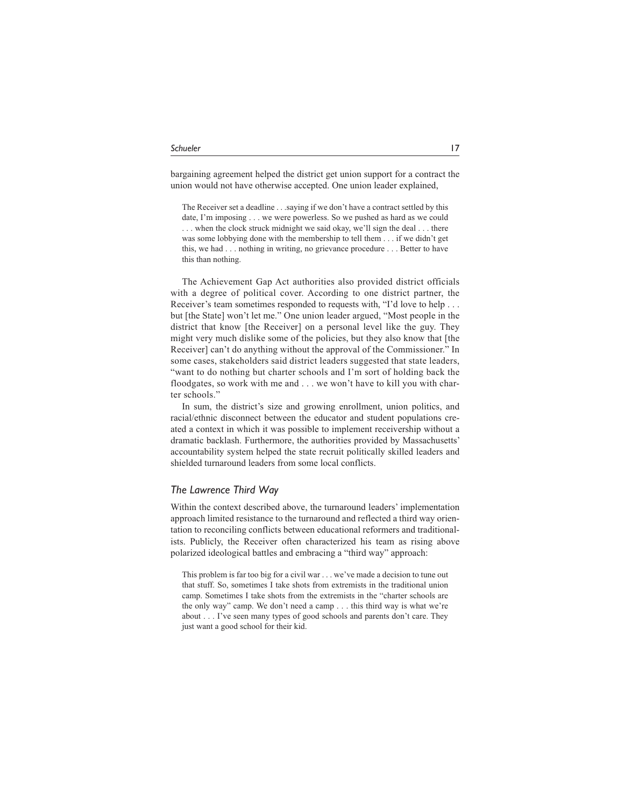bargaining agreement helped the district get union support for a contract the union would not have otherwise accepted. One union leader explained,

The Receiver set a deadline . . .saying if we don't have a contract settled by this date, I'm imposing . . . we were powerless. So we pushed as hard as we could . . . when the clock struck midnight we said okay, we'll sign the deal . . . there was some lobbying done with the membership to tell them . . . if we didn't get this, we had . . . nothing in writing, no grievance procedure . . . Better to have this than nothing.

The Achievement Gap Act authorities also provided district officials with a degree of political cover. According to one district partner, the Receiver's team sometimes responded to requests with, "I'd love to help . . . but [the State] won't let me." One union leader argued, "Most people in the district that know [the Receiver] on a personal level like the guy. They might very much dislike some of the policies, but they also know that [the Receiver] can't do anything without the approval of the Commissioner." In some cases, stakeholders said district leaders suggested that state leaders, "want to do nothing but charter schools and I'm sort of holding back the floodgates, so work with me and . . . we won't have to kill you with charter schools."

In sum, the district's size and growing enrollment, union politics, and racial/ethnic disconnect between the educator and student populations created a context in which it was possible to implement receivership without a dramatic backlash. Furthermore, the authorities provided by Massachusetts' accountability system helped the state recruit politically skilled leaders and shielded turnaround leaders from some local conflicts.

# *The Lawrence Third Way*

Within the context described above, the turnaround leaders' implementation approach limited resistance to the turnaround and reflected a third way orientation to reconciling conflicts between educational reformers and traditionalists. Publicly, the Receiver often characterized his team as rising above polarized ideological battles and embracing a "third way" approach:

This problem is far too big for a civil war . . . we've made a decision to tune out that stuff. So, sometimes I take shots from extremists in the traditional union camp. Sometimes I take shots from the extremists in the "charter schools are the only way" camp. We don't need a camp . . . this third way is what we're about . . . I've seen many types of good schools and parents don't care. They just want a good school for their kid.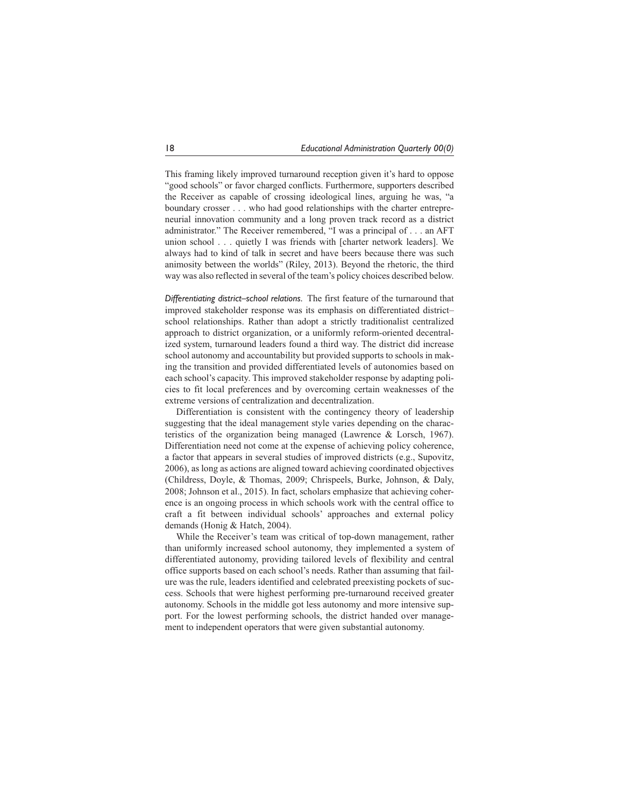This framing likely improved turnaround reception given it's hard to oppose "good schools" or favor charged conflicts. Furthermore, supporters described the Receiver as capable of crossing ideological lines, arguing he was, "a boundary crosser . . . who had good relationships with the charter entrepreneurial innovation community and a long proven track record as a district administrator." The Receiver remembered, "I was a principal of . . . an AFT union school . . . quietly I was friends with [charter network leaders]. We always had to kind of talk in secret and have beers because there was such animosity between the worlds" (Riley, 2013). Beyond the rhetoric, the third way was also reflected in several of the team's policy choices described below.

*Differentiating district–school relations.* The first feature of the turnaround that improved stakeholder response was its emphasis on differentiated district– school relationships. Rather than adopt a strictly traditionalist centralized approach to district organization, or a uniformly reform-oriented decentralized system, turnaround leaders found a third way. The district did increase school autonomy and accountability but provided supports to schools in making the transition and provided differentiated levels of autonomies based on each school's capacity. This improved stakeholder response by adapting policies to fit local preferences and by overcoming certain weaknesses of the extreme versions of centralization and decentralization.

Differentiation is consistent with the contingency theory of leadership suggesting that the ideal management style varies depending on the characteristics of the organization being managed (Lawrence & Lorsch, 1967). Differentiation need not come at the expense of achieving policy coherence, a factor that appears in several studies of improved districts (e.g., Supovitz, 2006), as long as actions are aligned toward achieving coordinated objectives (Childress, Doyle, & Thomas, 2009; Chrispeels, Burke, Johnson, & Daly, 2008; Johnson et al., 2015). In fact, scholars emphasize that achieving coherence is an ongoing process in which schools work with the central office to craft a fit between individual schools' approaches and external policy demands (Honig & Hatch, 2004).

While the Receiver's team was critical of top-down management, rather than uniformly increased school autonomy, they implemented a system of differentiated autonomy, providing tailored levels of flexibility and central office supports based on each school's needs. Rather than assuming that failure was the rule, leaders identified and celebrated preexisting pockets of success. Schools that were highest performing pre-turnaround received greater autonomy. Schools in the middle got less autonomy and more intensive support. For the lowest performing schools, the district handed over management to independent operators that were given substantial autonomy.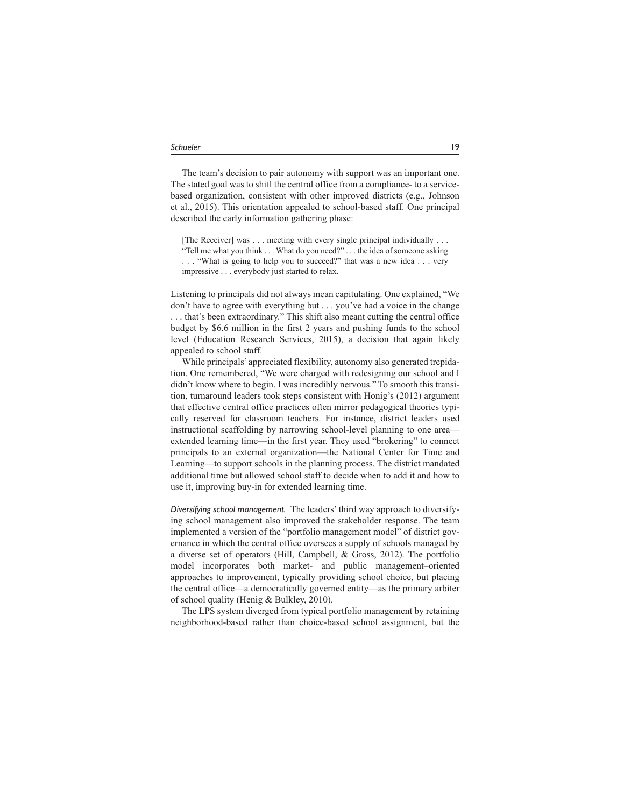The team's decision to pair autonomy with support was an important one. The stated goal was to shift the central office from a compliance- to a servicebased organization, consistent with other improved districts (e.g., Johnson et al., 2015). This orientation appealed to school-based staff. One principal described the early information gathering phase:

[The Receiver] was . . . meeting with every single principal individually . . . "Tell me what you think . . . What do you need?" . . . the idea of someone asking . . . "What is going to help you to succeed?" that was a new idea . . . very impressive . . . everybody just started to relax.

Listening to principals did not always mean capitulating. One explained, "We don't have to agree with everything but . . . you've had a voice in the change . . . that's been extraordinary." This shift also meant cutting the central office budget by \$6.6 million in the first 2 years and pushing funds to the school level (Education Research Services, 2015), a decision that again likely appealed to school staff.

While principals' appreciated flexibility, autonomy also generated trepidation. One remembered, "We were charged with redesigning our school and I didn't know where to begin. I was incredibly nervous." To smooth this transition, turnaround leaders took steps consistent with Honig's (2012) argument that effective central office practices often mirror pedagogical theories typically reserved for classroom teachers. For instance, district leaders used instructional scaffolding by narrowing school-level planning to one area extended learning time—in the first year. They used "brokering" to connect principals to an external organization—the National Center for Time and Learning—to support schools in the planning process. The district mandated additional time but allowed school staff to decide when to add it and how to use it, improving buy-in for extended learning time.

*Diversifying school management.* The leaders' third way approach to diversifying school management also improved the stakeholder response. The team implemented a version of the "portfolio management model" of district governance in which the central office oversees a supply of schools managed by a diverse set of operators (Hill, Campbell, & Gross, 2012). The portfolio model incorporates both market- and public management–oriented approaches to improvement, typically providing school choice, but placing the central office—a democratically governed entity—as the primary arbiter of school quality (Henig & Bulkley, 2010).

The LPS system diverged from typical portfolio management by retaining neighborhood-based rather than choice-based school assignment, but the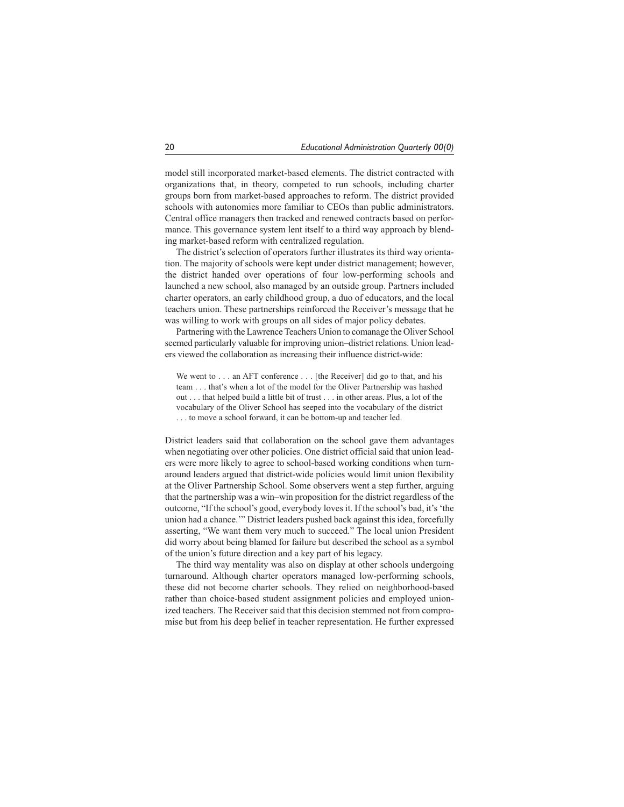model still incorporated market-based elements. The district contracted with organizations that, in theory, competed to run schools, including charter groups born from market-based approaches to reform. The district provided schools with autonomies more familiar to CEOs than public administrators. Central office managers then tracked and renewed contracts based on performance. This governance system lent itself to a third way approach by blending market-based reform with centralized regulation.

The district's selection of operators further illustrates its third way orientation. The majority of schools were kept under district management; however, the district handed over operations of four low-performing schools and launched a new school, also managed by an outside group. Partners included charter operators, an early childhood group, a duo of educators, and the local teachers union. These partnerships reinforced the Receiver's message that he was willing to work with groups on all sides of major policy debates.

Partnering with the Lawrence Teachers Union to comanage the Oliver School seemed particularly valuable for improving union–district relations. Union leaders viewed the collaboration as increasing their influence district-wide:

We went to . . . an AFT conference . . . [the Receiver] did go to that, and his team . . . that's when a lot of the model for the Oliver Partnership was hashed out . . . that helped build a little bit of trust . . . in other areas. Plus, a lot of the vocabulary of the Oliver School has seeped into the vocabulary of the district . . . to move a school forward, it can be bottom-up and teacher led.

District leaders said that collaboration on the school gave them advantages when negotiating over other policies. One district official said that union leaders were more likely to agree to school-based working conditions when turnaround leaders argued that district-wide policies would limit union flexibility at the Oliver Partnership School. Some observers went a step further, arguing that the partnership was a win–win proposition for the district regardless of the outcome, "If the school's good, everybody loves it. If the school's bad, it's 'the union had a chance.'" District leaders pushed back against this idea, forcefully asserting, "We want them very much to succeed." The local union President did worry about being blamed for failure but described the school as a symbol of the union's future direction and a key part of his legacy.

The third way mentality was also on display at other schools undergoing turnaround. Although charter operators managed low-performing schools, these did not become charter schools. They relied on neighborhood-based rather than choice-based student assignment policies and employed unionized teachers. The Receiver said that this decision stemmed not from compromise but from his deep belief in teacher representation. He further expressed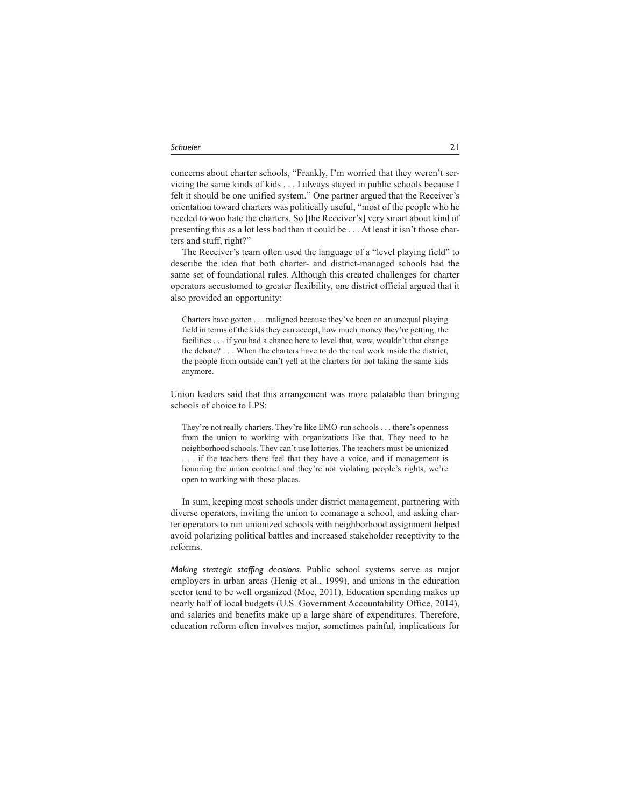concerns about charter schools, "Frankly, I'm worried that they weren't servicing the same kinds of kids . . . I always stayed in public schools because I felt it should be one unified system." One partner argued that the Receiver's orientation toward charters was politically useful, "most of the people who he needed to woo hate the charters. So [the Receiver's] very smart about kind of presenting this as a lot less bad than it could be . . . At least it isn't those charters and stuff, right?"

The Receiver's team often used the language of a "level playing field" to describe the idea that both charter- and district-managed schools had the same set of foundational rules. Although this created challenges for charter operators accustomed to greater flexibility, one district official argued that it also provided an opportunity:

Charters have gotten . . . maligned because they've been on an unequal playing field in terms of the kids they can accept, how much money they're getting, the facilities . . . if you had a chance here to level that, wow, wouldn't that change the debate? . . . When the charters have to do the real work inside the district, the people from outside can't yell at the charters for not taking the same kids anymore.

Union leaders said that this arrangement was more palatable than bringing schools of choice to LPS:

They're not really charters. They're like EMO-run schools . . . there's openness from the union to working with organizations like that. They need to be neighborhood schools. They can't use lotteries. The teachers must be unionized . . . if the teachers there feel that they have a voice, and if management is honoring the union contract and they're not violating people's rights, we're open to working with those places.

In sum, keeping most schools under district management, partnering with diverse operators, inviting the union to comanage a school, and asking charter operators to run unionized schools with neighborhood assignment helped avoid polarizing political battles and increased stakeholder receptivity to the reforms.

*Making strategic staffing decisions.* Public school systems serve as major employers in urban areas (Henig et al., 1999), and unions in the education sector tend to be well organized (Moe, 2011). Education spending makes up nearly half of local budgets (U.S. Government Accountability Office, 2014), and salaries and benefits make up a large share of expenditures. Therefore, education reform often involves major, sometimes painful, implications for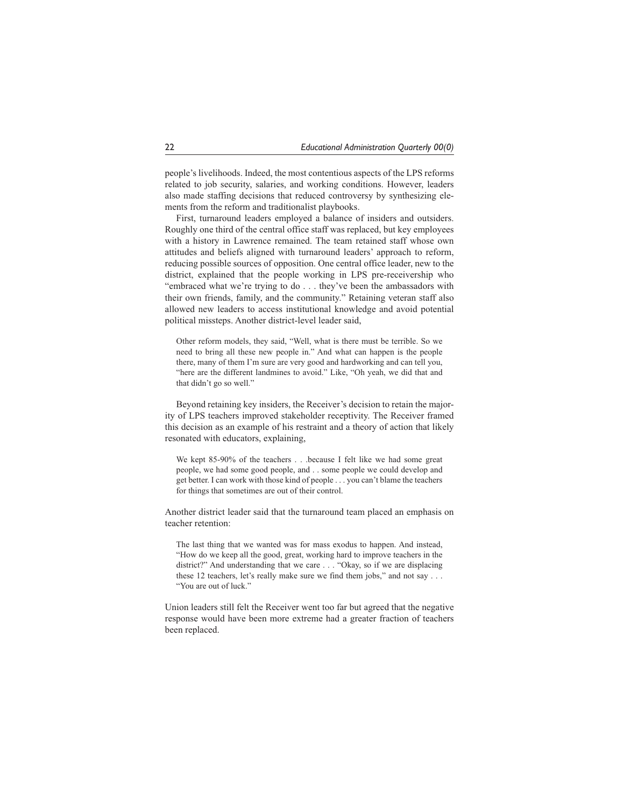people's livelihoods. Indeed, the most contentious aspects of the LPS reforms related to job security, salaries, and working conditions. However, leaders also made staffing decisions that reduced controversy by synthesizing elements from the reform and traditionalist playbooks.

First, turnaround leaders employed a balance of insiders and outsiders. Roughly one third of the central office staff was replaced, but key employees with a history in Lawrence remained. The team retained staff whose own attitudes and beliefs aligned with turnaround leaders' approach to reform, reducing possible sources of opposition. One central office leader, new to the district, explained that the people working in LPS pre-receivership who "embraced what we're trying to do . . . they've been the ambassadors with their own friends, family, and the community." Retaining veteran staff also allowed new leaders to access institutional knowledge and avoid potential political missteps. Another district-level leader said,

Other reform models, they said, "Well, what is there must be terrible. So we need to bring all these new people in." And what can happen is the people there, many of them I'm sure are very good and hardworking and can tell you, "here are the different landmines to avoid." Like, "Oh yeah, we did that and that didn't go so well."

Beyond retaining key insiders, the Receiver's decision to retain the majority of LPS teachers improved stakeholder receptivity. The Receiver framed this decision as an example of his restraint and a theory of action that likely resonated with educators, explaining,

We kept 85-90% of the teachers . . .because I felt like we had some great people, we had some good people, and . . some people we could develop and get better. I can work with those kind of people . . . you can't blame the teachers for things that sometimes are out of their control.

Another district leader said that the turnaround team placed an emphasis on teacher retention:

The last thing that we wanted was for mass exodus to happen. And instead, "How do we keep all the good, great, working hard to improve teachers in the district?" And understanding that we care . . . "Okay, so if we are displacing these 12 teachers, let's really make sure we find them jobs," and not say . . . "You are out of luck."

Union leaders still felt the Receiver went too far but agreed that the negative response would have been more extreme had a greater fraction of teachers been replaced.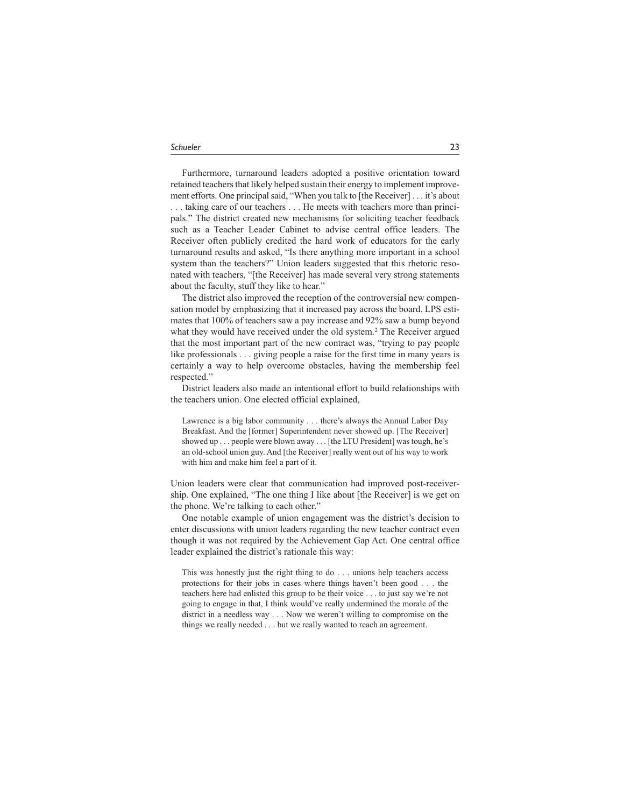Furthermore, turnaround leaders adopted a positive orientation toward retained teachers that likely helped sustain their energy to implement improvement efforts. One principal said, "When you talk to [the Receiver] . . . it's about . . . taking care of our teachers . . . He meets with teachers more than principals." The district created new mechanisms for soliciting teacher feedback such as a Teacher Leader Cabinet to advise central office leaders. The Receiver often publicly credited the hard work of educators for the early turnaround results and asked, "Is there anything more important in a school system than the teachers?" Union leaders suggested that this rhetoric resonated with teachers, "[the Receiver] has made several very strong statements about the faculty, stuff they like to hear."

The district also improved the reception of the controversial new compensation model by emphasizing that it increased pay across the board. LPS estimates that 100% of teachers saw a pay increase and 92% saw a bump beyond what they would have received under the old system.<sup>2</sup> The Receiver argued that the most important part of the new contract was, "trying to pay people like professionals . . . giving people a raise for the first time in many years is certainly a way to help overcome obstacles, having the membership feel respected."

District leaders also made an intentional effort to build relationships with the teachers union. One elected official explained,

Lawrence is a big labor community . . . there's always the Annual Labor Day Breakfast. And the [former] Superintendent never showed up. [The Receiver] showed up . . . people were blown away . . . [the LTU President] was tough, he's an old-school union guy. And [the Receiver] really went out of his way to work with him and make him feel a part of it.

Union leaders were clear that communication had improved post-receivership. One explained, "The one thing I like about [the Receiver] is we get on the phone. We're talking to each other."

One notable example of union engagement was the district's decision to enter discussions with union leaders regarding the new teacher contract even though it was not required by the Achievement Gap Act. One central office leader explained the district's rationale this way:

This was honestly just the right thing to do . . . unions help teachers access protections for their jobs in cases where things haven't been good . . . the teachers here had enlisted this group to be their voice . . . to just say we're not going to engage in that, I think would've really undermined the morale of the district in a needless way . . . Now we weren't willing to compromise on the things we really needed . . . but we really wanted to reach an agreement.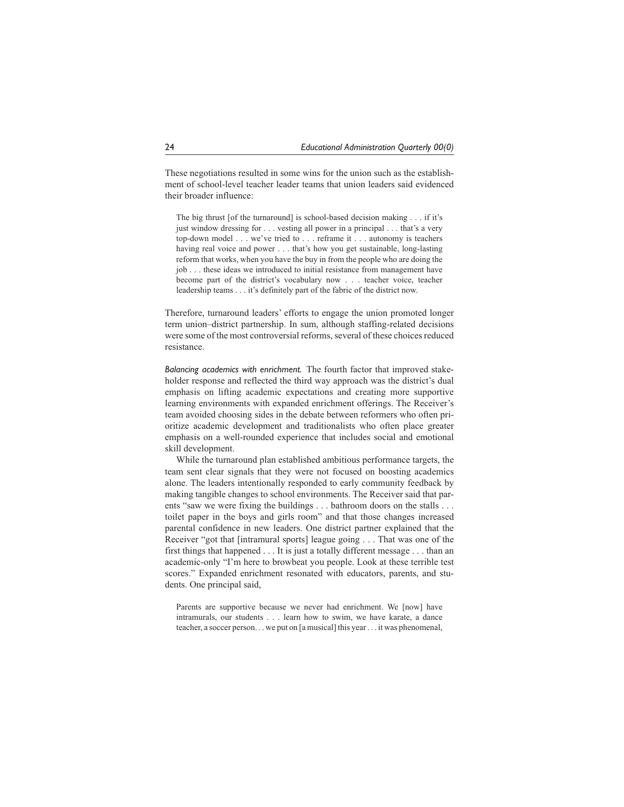These negotiations resulted in some wins for the union such as the establishment of school-level teacher leader teams that union leaders said evidenced their broader influence:

The big thrust [of the turnaround] is school-based decision making . . . if it's just window dressing for . . . vesting all power in a principal . . . that's a very top-down model . . . we've tried to . . . reframe it . . . autonomy is teachers having real voice and power . . . that's how you get sustainable, long-lasting reform that works, when you have the buy in from the people who are doing the job . . . these ideas we introduced to initial resistance from management have become part of the district's vocabulary now . . . teacher voice, teacher leadership teams . . . it's definitely part of the fabric of the district now.

Therefore, turnaround leaders' efforts to engage the union promoted longer term union–district partnership. In sum, although staffing-related decisions were some of the most controversial reforms, several of these choices reduced resistance.

*Balancing academics with enrichment.* The fourth factor that improved stakeholder response and reflected the third way approach was the district's dual emphasis on lifting academic expectations and creating more supportive learning environments with expanded enrichment offerings. The Receiver's team avoided choosing sides in the debate between reformers who often prioritize academic development and traditionalists who often place greater emphasis on a well-rounded experience that includes social and emotional skill development.

While the turnaround plan established ambitious performance targets, the team sent clear signals that they were not focused on boosting academics alone. The leaders intentionally responded to early community feedback by making tangible changes to school environments. The Receiver said that parents "saw we were fixing the buildings . . . bathroom doors on the stalls . . . toilet paper in the boys and girls room" and that those changes increased parental confidence in new leaders. One district partner explained that the Receiver "got that [intramural sports] league going . . . That was one of the first things that happened . . . It is just a totally different message . . . than an academic-only "I'm here to browbeat you people. Look at these terrible test scores." Expanded enrichment resonated with educators, parents, and students. One principal said,

Parents are supportive because we never had enrichment. We [now] have intramurals, our students . . . learn how to swim, we have karate, a dance teacher, a soccer person. . . we put on [a musical] this year . . . it was phenomenal,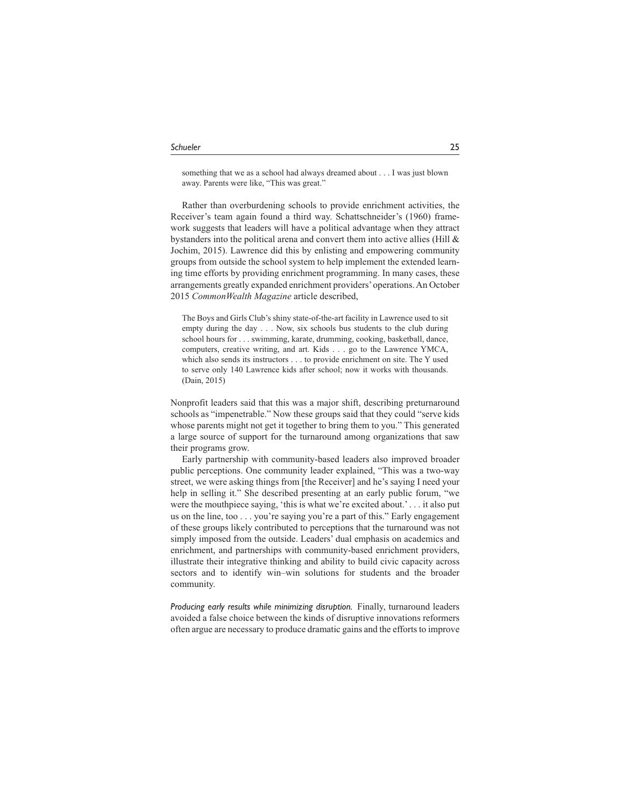something that we as a school had always dreamed about . . . I was just blown away. Parents were like, "This was great."

Rather than overburdening schools to provide enrichment activities, the Receiver's team again found a third way. Schattschneider's (1960) framework suggests that leaders will have a political advantage when they attract bystanders into the political arena and convert them into active allies (Hill & Jochim, 2015). Lawrence did this by enlisting and empowering community groups from outside the school system to help implement the extended learning time efforts by providing enrichment programming. In many cases, these arrangements greatly expanded enrichment providers' operations. An October 2015 *CommonWealth Magazine* article described,

The Boys and Girls Club's shiny state-of-the-art facility in Lawrence used to sit empty during the day . . . Now, six schools bus students to the club during school hours for . . . swimming, karate, drumming, cooking, basketball, dance, computers, creative writing, and art. Kids . . . go to the Lawrence YMCA, which also sends its instructors . . . to provide enrichment on site. The Y used to serve only 140 Lawrence kids after school; now it works with thousands. (Dain, 2015)

Nonprofit leaders said that this was a major shift, describing preturnaround schools as "impenetrable." Now these groups said that they could "serve kids whose parents might not get it together to bring them to you." This generated a large source of support for the turnaround among organizations that saw their programs grow.

Early partnership with community-based leaders also improved broader public perceptions. One community leader explained, "This was a two-way street, we were asking things from [the Receiver] and he's saying I need your help in selling it." She described presenting at an early public forum, "we were the mouthpiece saying, 'this is what we're excited about.' . . . it also put us on the line, too . . . you're saying you're a part of this." Early engagement of these groups likely contributed to perceptions that the turnaround was not simply imposed from the outside. Leaders' dual emphasis on academics and enrichment, and partnerships with community-based enrichment providers, illustrate their integrative thinking and ability to build civic capacity across sectors and to identify win–win solutions for students and the broader community.

*Producing early results while minimizing disruption.* Finally, turnaround leaders avoided a false choice between the kinds of disruptive innovations reformers often argue are necessary to produce dramatic gains and the efforts to improve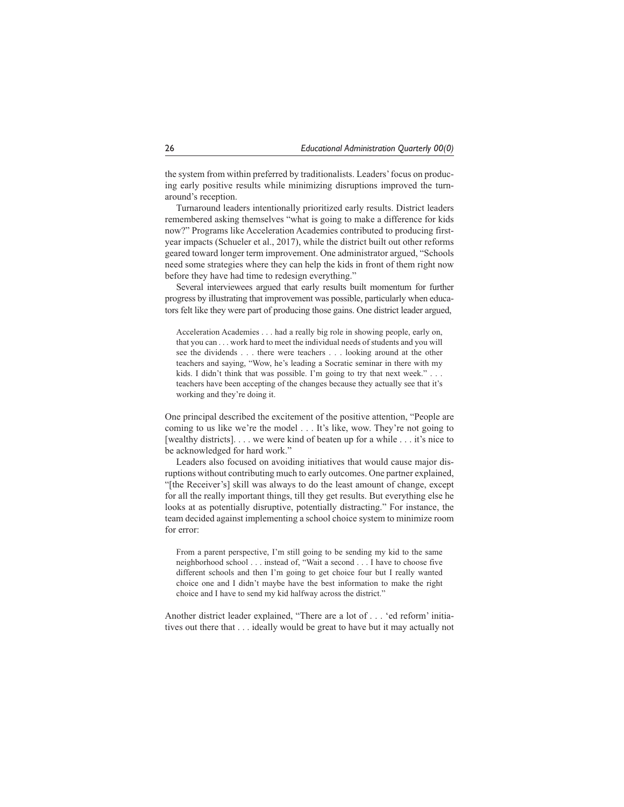the system from within preferred by traditionalists. Leaders' focus on producing early positive results while minimizing disruptions improved the turnaround's reception.

Turnaround leaders intentionally prioritized early results. District leaders remembered asking themselves "what is going to make a difference for kids now?" Programs like Acceleration Academies contributed to producing firstyear impacts (Schueler et al., 2017), while the district built out other reforms geared toward longer term improvement. One administrator argued, "Schools need some strategies where they can help the kids in front of them right now before they have had time to redesign everything."

Several interviewees argued that early results built momentum for further progress by illustrating that improvement was possible, particularly when educators felt like they were part of producing those gains. One district leader argued,

Acceleration Academies . . . had a really big role in showing people, early on, that you can . . . work hard to meet the individual needs of students and you will see the dividends . . . there were teachers . . . looking around at the other teachers and saying, "Wow, he's leading a Socratic seminar in there with my kids. I didn't think that was possible. I'm going to try that next week." . . . teachers have been accepting of the changes because they actually see that it's working and they're doing it.

One principal described the excitement of the positive attention, "People are coming to us like we're the model . . . It's like, wow. They're not going to [wealthy districts]. . . . we were kind of beaten up for a while . . . it's nice to be acknowledged for hard work."

Leaders also focused on avoiding initiatives that would cause major disruptions without contributing much to early outcomes. One partner explained, "[the Receiver's] skill was always to do the least amount of change, except for all the really important things, till they get results. But everything else he looks at as potentially disruptive, potentially distracting." For instance, the team decided against implementing a school choice system to minimize room for error:

From a parent perspective, I'm still going to be sending my kid to the same neighborhood school . . . instead of, "Wait a second . . . I have to choose five different schools and then I'm going to get choice four but I really wanted choice one and I didn't maybe have the best information to make the right choice and I have to send my kid halfway across the district."

Another district leader explained, "There are a lot of . . . 'ed reform' initiatives out there that . . . ideally would be great to have but it may actually not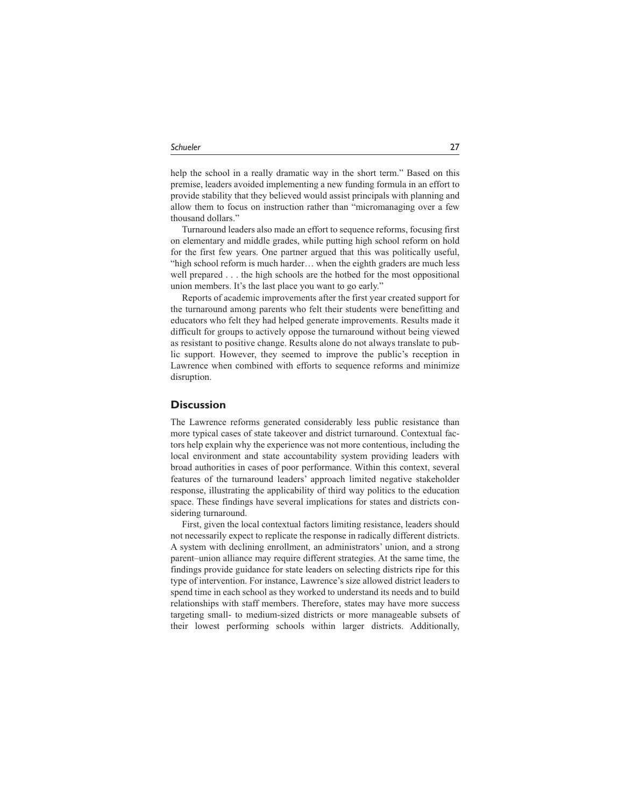help the school in a really dramatic way in the short term." Based on this premise, leaders avoided implementing a new funding formula in an effort to provide stability that they believed would assist principals with planning and allow them to focus on instruction rather than "micromanaging over a few thousand dollars."

Turnaround leaders also made an effort to sequence reforms, focusing first on elementary and middle grades, while putting high school reform on hold for the first few years. One partner argued that this was politically useful, "high school reform is much harder… when the eighth graders are much less well prepared . . . the high schools are the hotbed for the most oppositional union members. It's the last place you want to go early."

Reports of academic improvements after the first year created support for the turnaround among parents who felt their students were benefitting and educators who felt they had helped generate improvements. Results made it difficult for groups to actively oppose the turnaround without being viewed as resistant to positive change. Results alone do not always translate to public support. However, they seemed to improve the public's reception in Lawrence when combined with efforts to sequence reforms and minimize disruption.

### **Discussion**

The Lawrence reforms generated considerably less public resistance than more typical cases of state takeover and district turnaround. Contextual factors help explain why the experience was not more contentious, including the local environment and state accountability system providing leaders with broad authorities in cases of poor performance. Within this context, several features of the turnaround leaders' approach limited negative stakeholder response, illustrating the applicability of third way politics to the education space. These findings have several implications for states and districts considering turnaround.

First, given the local contextual factors limiting resistance, leaders should not necessarily expect to replicate the response in radically different districts. A system with declining enrollment, an administrators' union, and a strong parent–union alliance may require different strategies. At the same time, the findings provide guidance for state leaders on selecting districts ripe for this type of intervention. For instance, Lawrence's size allowed district leaders to spend time in each school as they worked to understand its needs and to build relationships with staff members. Therefore, states may have more success targeting small- to medium-sized districts or more manageable subsets of their lowest performing schools within larger districts. Additionally,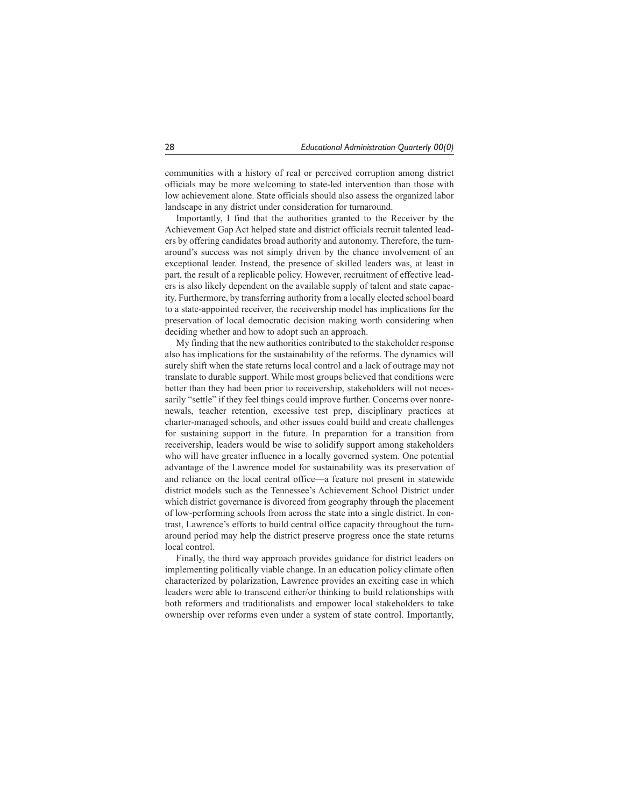communities with a history of real or perceived corruption among district officials may be more welcoming to state-led intervention than those with low achievement alone. State officials should also assess the organized labor landscape in any district under consideration for turnaround.

Importantly, I find that the authorities granted to the Receiver by the Achievement Gap Act helped state and district officials recruit talented leaders by offering candidates broad authority and autonomy. Therefore, the turnaround's success was not simply driven by the chance involvement of an exceptional leader. Instead, the presence of skilled leaders was, at least in part, the result of a replicable policy. However, recruitment of effective leaders is also likely dependent on the available supply of talent and state capacity. Furthermore, by transferring authority from a locally elected school board to a state-appointed receiver, the receivership model has implications for the preservation of local democratic decision making worth considering when deciding whether and how to adopt such an approach.

My finding that the new authorities contributed to the stakeholder response also has implications for the sustainability of the reforms. The dynamics will surely shift when the state returns local control and a lack of outrage may not translate to durable support. While most groups believed that conditions were better than they had been prior to receivership, stakeholders will not necessarily "settle" if they feel things could improve further. Concerns over nonrenewals, teacher retention, excessive test prep, disciplinary practices at charter-managed schools, and other issues could build and create challenges for sustaining support in the future. In preparation for a transition from receivership, leaders would be wise to solidify support among stakeholders who will have greater influence in a locally governed system. One potential advantage of the Lawrence model for sustainability was its preservation of and reliance on the local central office—a feature not present in statewide district models such as the Tennessee's Achievement School District under which district governance is divorced from geography through the placement of low-performing schools from across the state into a single district. In contrast, Lawrence's efforts to build central office capacity throughout the turnaround period may help the district preserve progress once the state returns local control.

Finally, the third way approach provides guidance for district leaders on implementing politically viable change. In an education policy climate often characterized by polarization, Lawrence provides an exciting case in which leaders were able to transcend either/or thinking to build relationships with both reformers and traditionalists and empower local stakeholders to take ownership over reforms even under a system of state control. Importantly,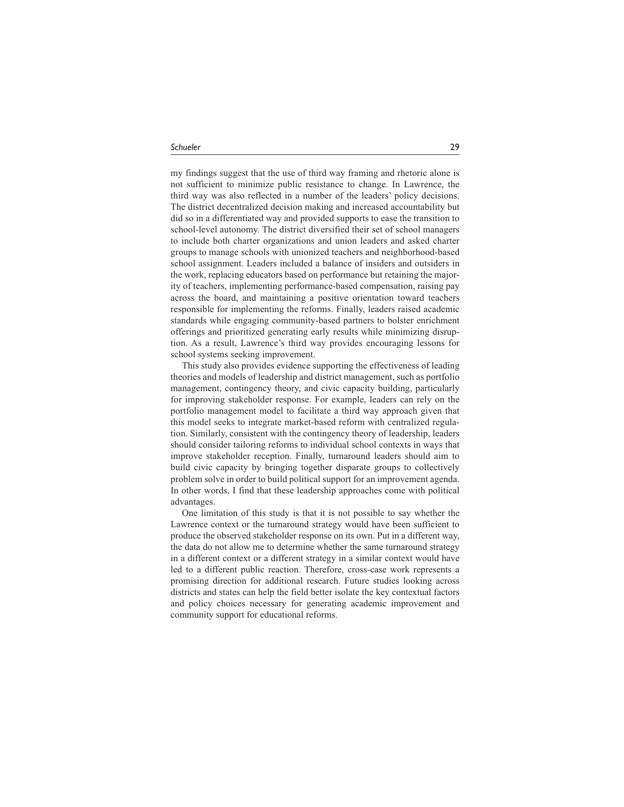my findings suggest that the use of third way framing and rhetoric alone is not sufficient to minimize public resistance to change. In Lawrence, the third way was also reflected in a number of the leaders' policy decisions. The district decentralized decision making and increased accountability but did so in a differentiated way and provided supports to ease the transition to school-level autonomy. The district diversified their set of school managers to include both charter organizations and union leaders and asked charter groups to manage schools with unionized teachers and neighborhood-based school assignment. Leaders included a balance of insiders and outsiders in the work, replacing educators based on performance but retaining the majority of teachers, implementing performance-based compensation, raising pay across the board, and maintaining a positive orientation toward teachers responsible for implementing the reforms. Finally, leaders raised academic standards while engaging community-based partners to bolster enrichment offerings and prioritized generating early results while minimizing disruption. As a result, Lawrence's third way provides encouraging lessons for school systems seeking improvement.

This study also provides evidence supporting the effectiveness of leading theories and models of leadership and district management, such as portfolio management, contingency theory, and civic capacity building, particularly for improving stakeholder response. For example, leaders can rely on the portfolio management model to facilitate a third way approach given that this model seeks to integrate market-based reform with centralized regulation. Similarly, consistent with the contingency theory of leadership, leaders should consider tailoring reforms to individual school contexts in ways that improve stakeholder reception. Finally, turnaround leaders should aim to build civic capacity by bringing together disparate groups to collectively problem solve in order to build political support for an improvement agenda. In other words, I find that these leadership approaches come with political advantages.

One limitation of this study is that it is not possible to say whether the Lawrence context or the turnaround strategy would have been sufficient to produce the observed stakeholder response on its own. Put in a different way, the data do not allow me to determine whether the same turnaround strategy in a different context or a different strategy in a similar context would have led to a different public reaction. Therefore, cross-case work represents a promising direction for additional research. Future studies looking across districts and states can help the field better isolate the key contextual factors and policy choices necessary for generating academic improvement and community support for educational reforms.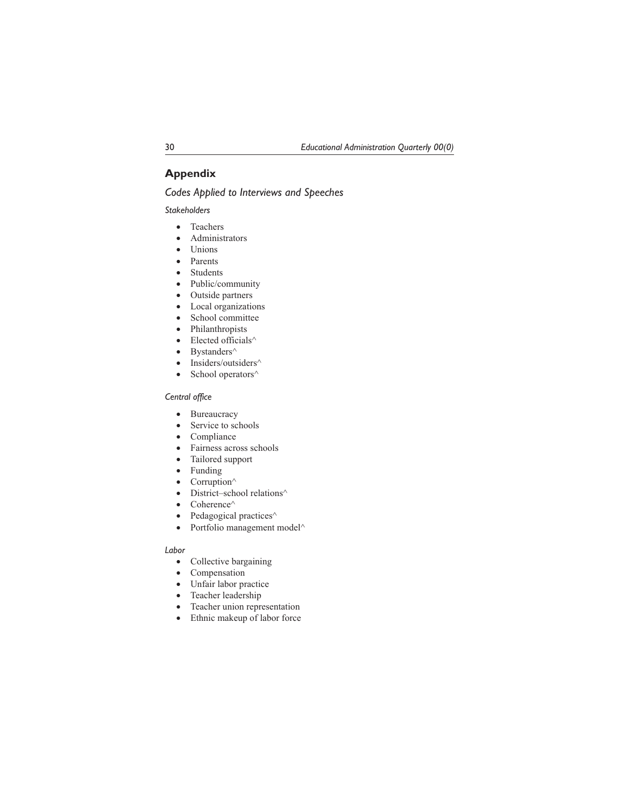# **Appendix**

# *Codes Applied to Interviews and Speeches*

# *Stakeholders*

- Teachers
- Administrators
- Unions
- Parents
- Students
- Public/community
- Outside partners
- Local organizations
- School committee
- Philanthropists
- Elected officials<sup>^</sup>
- Bystanders^
- Insiders/outsiders^
- School operators^

# *Central office*

- Bureaucracy
- Service to schools
- Compliance
- Fairness across schools
- Tailored support
- Funding
- Corruption^
- District–school relations^
- Coherence<sup> $\wedge$ </sup>
- Pedagogical practices<sup> $\wedge$ </sup>
- Portfolio management model<sup> $\wedge$ </sup>

# *Labor*

- Collective bargaining
- Compensation
- Unfair labor practice
- Teacher leadership
- Teacher union representation
- Ethnic makeup of labor force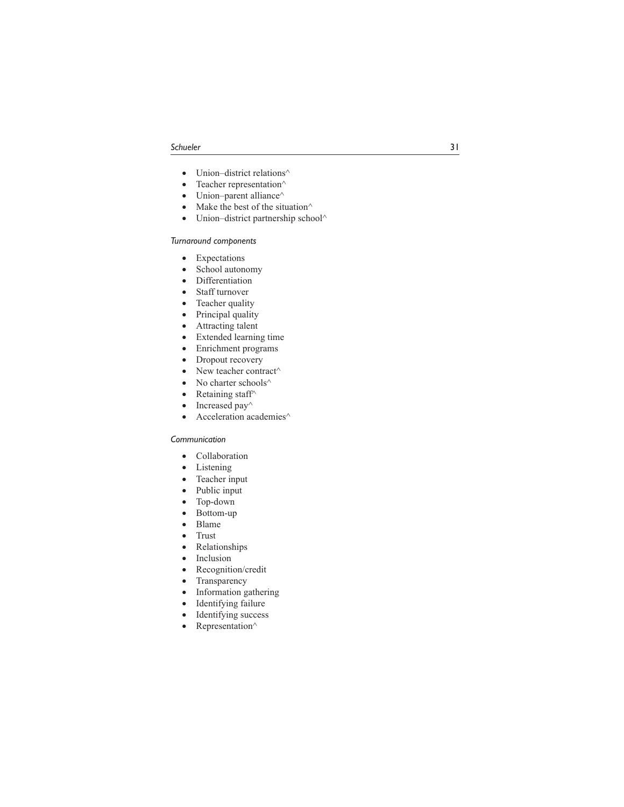- Union–district relations<sup> $\wedge$ </sup>
- Teacher representation<sup> $\wedge$ </sup>
- $\bullet$  Union–parent alliance $\hat{}$
- Make the best of the situation $\wedge$
- Union–district partnership school^

# *Turnaround components*

- Expectations
- School autonomy
- Differentiation
- Staff turnover
- Teacher quality
- Principal quality
- Attracting talent
- Extended learning time
- Enrichment programs
- Dropout recovery
- New teacher contract<sup> $\wedge$ </sup>
- No charter schools $\wedge$
- Retaining staff<sup>^</sup>
- Increased pay^
- Acceleration academies<sup>^</sup>

# *Communication*

- Collaboration
- Listening
- Teacher input
- Public input
- Top-down
- Bottom-up
- Blame
- Trust
- Relationships
- Inclusion
- Recognition/credit
- Transparency
- Information gathering
- Identifying failure
- Identifying success
- Representation^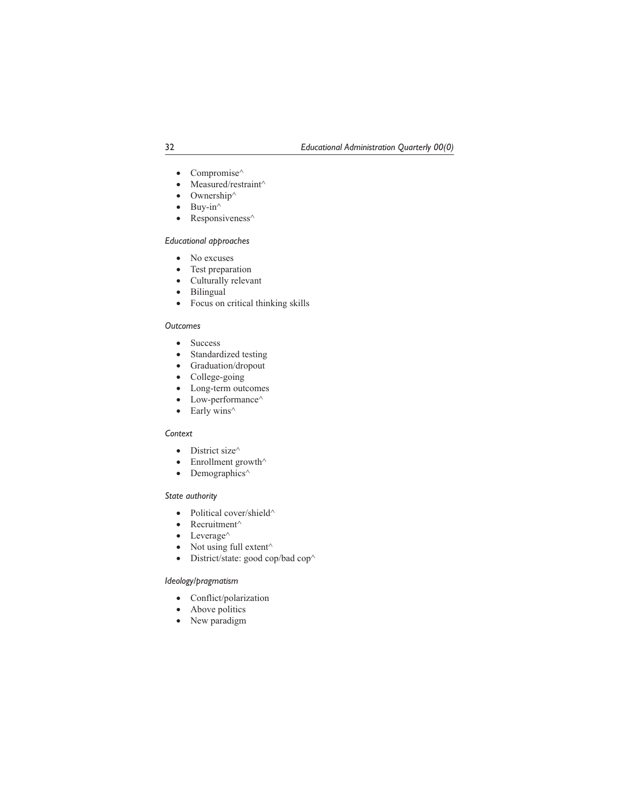- Compromise^
- Measured/restraint^
- Ownership^
- $\bullet$  Buy-in<sup> $\land$ </sup>
- Responsiveness<sup>^</sup>

# *Educational approaches*

- No excuses
- Test preparation
- Culturally relevant
- Bilingual
- Focus on critical thinking skills

# *Outcomes*

- Success
- Standardized testing
- Graduation/dropout
- College-going
- Long-term outcomes
- Low-performance<sup> $\wedge$ </sup>
- $\bullet$  Early wins<sup> $\wedge$ </sup>

### *Context*

- District size^
- Enrollment growth $\wedge$
- Demographics<sup>^</sup>

# *State authority*

- Political cover/shield $\wedge$
- Recruitment<sup> $\wedge$ </sup>
- Leverage<sup> $\wedge$ </sup>
- Not using full extent^
- District/state: good cop/bad cop^

# *Ideology/pragmatism*

- Conflict/polarization
- Above politics
- New paradigm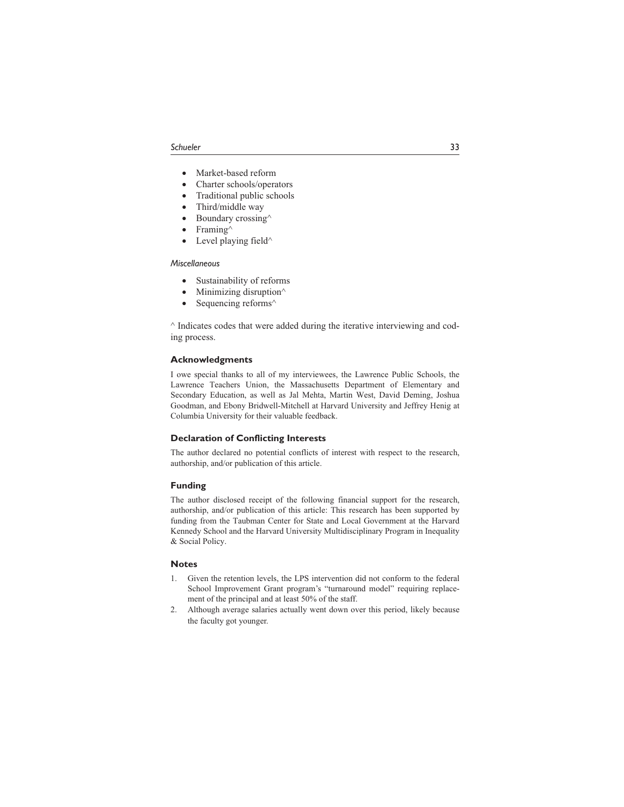- Market-based reform
- Charter schools/operators
- Traditional public schools
- Third/middle way
- Boundary crossing^
- Framing $\wedge$
- Level playing field^

### *Miscellaneous*

- Sustainability of reforms
- Minimizing disruption^
- Sequencing reforms<sup> $\wedge$ </sup>

^ Indicates codes that were added during the iterative interviewing and coding process.

### **Acknowledgments**

I owe special thanks to all of my interviewees, the Lawrence Public Schools, the Lawrence Teachers Union, the Massachusetts Department of Elementary and Secondary Education, as well as Jal Mehta, Martin West, David Deming, Joshua Goodman, and Ebony Bridwell-Mitchell at Harvard University and Jeffrey Henig at Columbia University for their valuable feedback.

### **Declaration of Conflicting Interests**

The author declared no potential conflicts of interest with respect to the research, authorship, and/or publication of this article.

### **Funding**

The author disclosed receipt of the following financial support for the research, authorship, and/or publication of this article: This research has been supported by funding from the Taubman Center for State and Local Government at the Harvard Kennedy School and the Harvard University Multidisciplinary Program in Inequality & Social Policy.

### **Notes**

- 1. Given the retention levels, the LPS intervention did not conform to the federal School Improvement Grant program's "turnaround model" requiring replacement of the principal and at least 50% of the staff.
- 2. Although average salaries actually went down over this period, likely because the faculty got younger.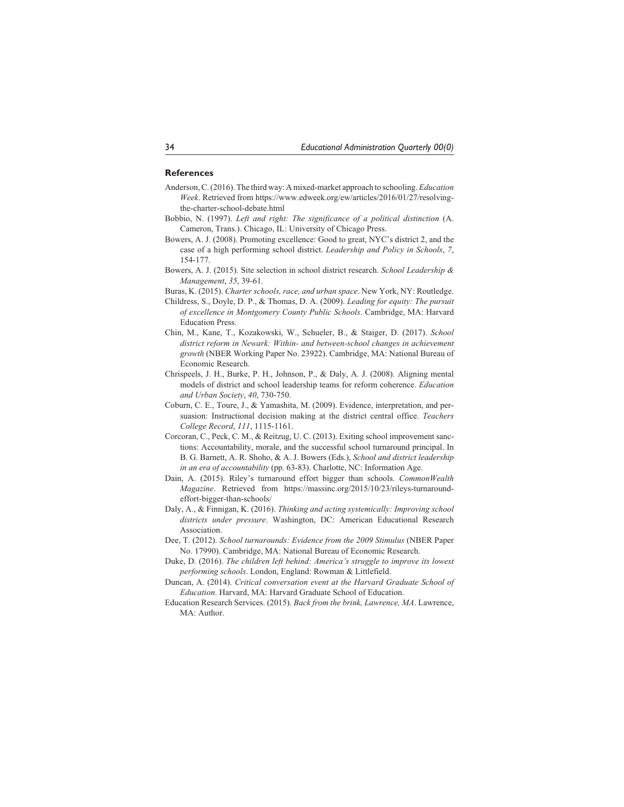### **References**

- Anderson, C. (2016). The third way: A mixed-market approach to schooling. *Education Week*. Retrieved from [https://www.edweek.org/ew/articles/2016/01/27/resolving](https://www.edweek.org/ew/articles/2016/01/27/resolving-the-charter-school-debate.html)[the-charter-school-debate.html](https://www.edweek.org/ew/articles/2016/01/27/resolving-the-charter-school-debate.html)
- Bobbio, N. (1997). *Left and right: The significance of a political distinction* (A. Cameron, Trans.). Chicago, IL: University of Chicago Press.
- Bowers, A. J. (2008). Promoting excellence: Good to great, NYC's district 2, and the case of a high performing school district. *Leadership and Policy in Schools*, *7*, 154-177.
- Bowers, A. J. (2015). Site selection in school district research. *School Leadership & Management*, *35*, 39-61.
- Buras, K. (2015). *Charter schools, race, and urban space*. New York, NY: Routledge.
- Childress, S., Doyle, D. P., & Thomas, D. A. (2009). *Leading for equity: The pursuit of excellence in Montgomery County Public Schools*. Cambridge, MA: Harvard Education Press.
- Chin, M., Kane, T., Kozakowski, W., Schueler, B., & Staiger, D. (2017). *School district reform in Newark: Within- and between-school changes in achievement growth* (NBER Working Paper No. 23922). Cambridge, MA: National Bureau of Economic Research.
- Chrispeels, J. H., Burke, P. H., Johnson, P., & Daly, A. J. (2008). Aligning mental models of district and school leadership teams for reform coherence. *Education and Urban Society*, *40*, 730-750.
- Coburn, C. E., Toure, J., & Yamashita, M. (2009). Evidence, interpretation, and persuasion: Instructional decision making at the district central office. *Teachers College Record*, *111*, 1115-1161.
- Corcoran, C., Peck, C. M., & Reitzug, U. C. (2013). Exiting school improvement sanctions: Accountability, morale, and the successful school turnaround principal. In B. G. Barnett, A. R. Shoho, & A. J. Bowers (Eds.), *School and district leadership in an era of accountability* (pp. 63-83). Charlotte, NC: Information Age.
- Dain, A. (2015). Riley's turnaround effort bigger than schools. *CommonWealth Magazine*. Retrieved from [https://massinc.org/2015/10/23/rileys-turnaround](https://massinc.org/2015/10/23/rileys-turnaround-effort-bigger-than-schools/)[effort-bigger-than-schools/](https://massinc.org/2015/10/23/rileys-turnaround-effort-bigger-than-schools/)
- Daly, A., & Finnigan, K. (2016). *Thinking and acting systemically: Improving school districts under pressure*. Washington, DC: American Educational Research Association.
- Dee, T. (2012). *School turnarounds: Evidence from the 2009 Stimulus* (NBER Paper No. 17990). Cambridge, MA: National Bureau of Economic Research.
- Duke, D. (2016). *The children left behind: America's struggle to improve its lowest performing schools*. London, England: Rowman & Littlefield.
- Duncan, A. (2014). *Critical conversation event at the Harvard Graduate School of Education*. Harvard, MA: Harvard Graduate School of Education.
- Education Research Services. (2015). *Back from the brink, Lawrence, MA*. Lawrence, MA: Author.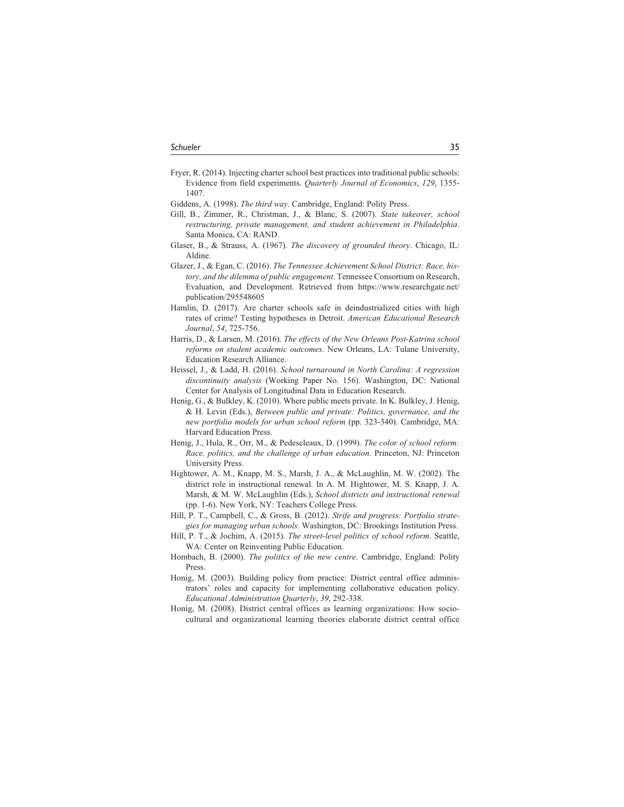Fryer, R. (2014). Injecting charter school best practices into traditional public schools: Evidence from field experiments. *Quarterly Journal of Economics*, *129*, 1355- 1407.

- Gill, B., Zimmer, R., Christman, J., & Blanc, S. (2007). *State takeover, school restructuring, private management, and student achievement in Philadelphia*. Santa Monica, CA: RAND.
- Glaser, B., & Strauss, A. (1967). *The discovery of grounded theory*. Chicago, IL: Aldine.
- Glazer, J., & Egan, C. (2016). *The Tennessee Achievement School District: Race, history, and the dilemma of public engagement*. Tennessee Consortium on Research, Evaluation, and Development. Retrieved from [https://www.researchgate.net/](https://www.researchgate.net/publication/295548605) [publication/295548605](https://www.researchgate.net/publication/295548605)
- Hamlin, D. (2017). Are charter schools safe in deindustrialized cities with high rates of crime? Testing hypotheses in Detroit. *American Educational Research Journal*, *54*, 725-756.
- Harris, D., & Larsen, M. (2016). *The effects of the New Orleans Post-Katrina school reforms on student academic outcomes*. New Orleans, LA: Tulane University, Education Research Alliance.
- Heissel, J., & Ladd, H. (2016). *School turnaround in North Carolina: A regression discontinuity analysis* (Working Paper No. 156). Washington, DC: National Center for Analysis of Longitudinal Data in Education Research.
- Henig, G., & Bulkley, K. (2010). Where public meets private. In K. Bulkley, J. Henig, & H. Levin (Eds.), *Between public and private: Politics, governance, and the new portfolio models for urban school reform* (pp. 323-340). Cambridge, MA: Harvard Education Press.
- Henig, J., Hula, R., Orr, M., & Pedescleaux, D. (1999). *The color of school reform: Race, politics, and the challenge of urban education*. Princeton, NJ: Princeton University Press.
- Hightower, A. M., Knapp, M. S., Marsh, J. A., & McLaughlin, M. W. (2002). The district role in instructional renewal. In A. M. Hightower, M. S. Knapp, J. A. Marsh, & M. W. McLaughlin (Eds.), *School districts and instructional renewal* (pp. 1-6). New York, NY: Teachers College Press.
- Hill, P. T., Campbell, C., & Gross, B. (2012). *Strife and progress: Portfolio strategies for managing urban schools*. Washington, DC: Brookings Institution Press.
- Hill, P. T., & Jochim, A. (2015). *The street-level politics of school reform*. Seattle, WA: Center on Reinventing Public Education.
- Hombach, B. (2000). *The politics of the new centre*. Cambridge, England: Polity Press.
- Honig, M. (2003). Building policy from practice: District central office administrators' roles and capacity for implementing collaborative education policy. *Educational Administration Quarterly*, *39*, 292-338.
- Honig, M. (2008). District central offices as learning organizations: How sociocultural and organizational learning theories elaborate district central office

Giddens, A. (1998). *The third way*. Cambridge, England: Polity Press.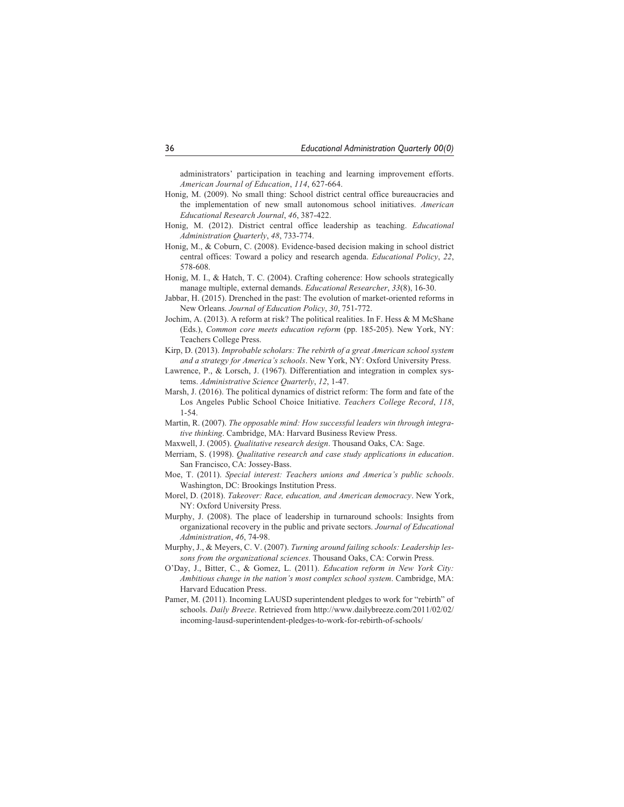administrators' participation in teaching and learning improvement efforts. *American Journal of Education*, *114*, 627-664.

- Honig, M. (2009). No small thing: School district central office bureaucracies and the implementation of new small autonomous school initiatives. *American Educational Research Journal*, *46*, 387-422.
- Honig, M. (2012). District central office leadership as teaching. *Educational Administration Quarterly*, *48*, 733-774.
- Honig, M., & Coburn, C. (2008). Evidence-based decision making in school district central offices: Toward a policy and research agenda. *Educational Policy*, *22*, 578-608.
- Honig, M. I., & Hatch, T. C. (2004). Crafting coherence: How schools strategically manage multiple, external demands. *Educational Researcher*, *33*(8), 16-30.
- Jabbar, H. (2015). Drenched in the past: The evolution of market-oriented reforms in New Orleans. *Journal of Education Policy*, *30*, 751-772.
- Jochim, A. (2013). A reform at risk? The political realities. In F. Hess & M McShane (Eds.), *Common core meets education reform* (pp. 185-205). New York, NY: Teachers College Press.
- Kirp, D. (2013). *Improbable scholars: The rebirth of a great American school system and a strategy for America's schools*. New York, NY: Oxford University Press.
- Lawrence, P., & Lorsch, J. (1967). Differentiation and integration in complex systems. *Administrative Science Quarterly*, *12*, 1-47.
- Marsh, J. (2016). The political dynamics of district reform: The form and fate of the Los Angeles Public School Choice Initiative. *Teachers College Record*, *118*, 1-54.
- Martin, R. (2007). *The opposable mind: How successful leaders win through integrative thinking*. Cambridge, MA: Harvard Business Review Press.
- Maxwell, J. (2005). *Qualitative research design*. Thousand Oaks, CA: Sage.
- Merriam, S. (1998). *Qualitative research and case study applications in education*. San Francisco, CA: Jossey-Bass.
- Moe, T. (2011). *Special interest: Teachers unions and America's public schools*. Washington, DC: Brookings Institution Press.
- Morel, D. (2018). *Takeover: Race, education, and American democracy*. New York, NY: Oxford University Press.
- Murphy, J. (2008). The place of leadership in turnaround schools: Insights from organizational recovery in the public and private sectors. *Journal of Educational Administration*, *46*, 74-98.
- Murphy, J., & Meyers, C. V. (2007). *Turning around failing schools: Leadership lessons from the organizational sciences*. Thousand Oaks, CA: Corwin Press.
- O'Day, J., Bitter, C., & Gomez, L. (2011). *Education reform in New York City: Ambitious change in the nation's most complex school system*. Cambridge, MA: Harvard Education Press.
- Pamer, M. (2011). Incoming LAUSD superintendent pledges to work for "rebirth" of schools. *Daily Breeze*. Retrieved from [http://www.dailybreeze.com/2011/02/02/](http://www.dailybreeze.com/2011/02/02/incoming-lausd-superintendent-pledges-to-work-for-rebirth-of-schools/) [incoming-lausd-superintendent-pledges-to-work-for-rebirth-of-schools/](http://www.dailybreeze.com/2011/02/02/incoming-lausd-superintendent-pledges-to-work-for-rebirth-of-schools/)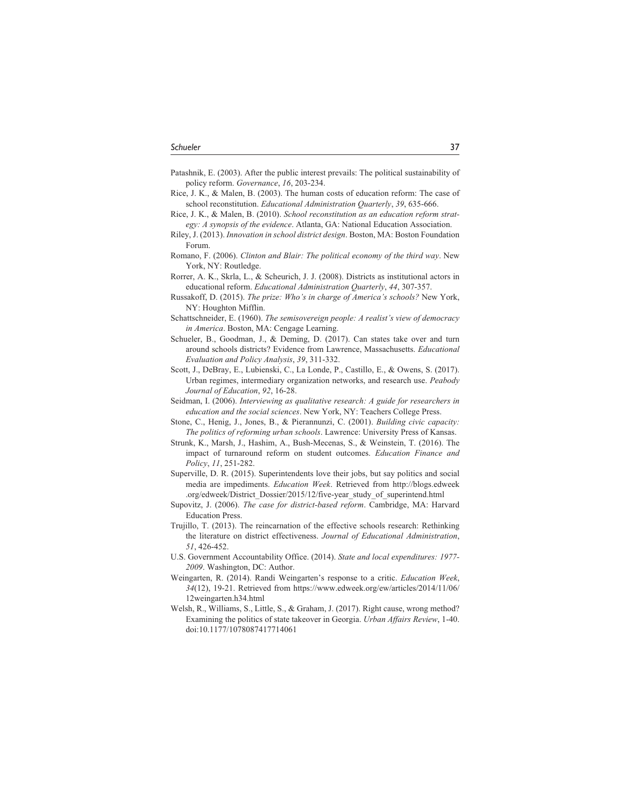- Patashnik, E. (2003). After the public interest prevails: The political sustainability of policy reform. *Governance*, *16*, 203-234.
- Rice, J. K., & Malen, B. (2003). The human costs of education reform: The case of school reconstitution. *Educational Administration Quarterly*, *39*, 635-666.
- Rice, J. K., & Malen, B. (2010). *School reconstitution as an education reform strategy: A synopsis of the evidence*. Atlanta, GA: National Education Association.
- Riley, J. (2013). *Innovation in school district design*. Boston, MA: Boston Foundation Forum.
- Romano, F. (2006). *Clinton and Blair: The political economy of the third way*. New York, NY: Routledge.
- Rorrer, A. K., Skrla, L., & Scheurich, J. J. (2008). Districts as institutional actors in educational reform. *Educational Administration Quarterly*, *44*, 307-357.
- Russakoff, D. (2015). *The prize: Who's in charge of America's schools?* New York, NY: Houghton Mifflin.
- Schattschneider, E. (1960). *The semisovereign people: A realist's view of democracy in America*. Boston, MA: Cengage Learning.
- Schueler, B., Goodman, J., & Deming, D. (2017). Can states take over and turn around schools districts? Evidence from Lawrence, Massachusetts. *Educational Evaluation and Policy Analysis*, *39*, 311-332.
- Scott, J., DeBray, E., Lubienski, C., La Londe, P., Castillo, E., & Owens, S. (2017). Urban regimes, intermediary organization networks, and research use. *Peabody Journal of Education*, *92*, 16-28.
- Seidman, I. (2006). *Interviewing as qualitative research: A guide for researchers in education and the social sciences*. New York, NY: Teachers College Press.
- Stone, C., Henig, J., Jones, B., & Pierannunzi, C. (2001). *Building civic capacity: The politics of reforming urban schools*. Lawrence: University Press of Kansas.
- Strunk, K., Marsh, J., Hashim, A., Bush-Mecenas, S., & Weinstein, T. (2016). The impact of turnaround reform on student outcomes. *Education Finance and Policy*, *11*, 251-282.
- Superville, D. R. (2015). Superintendents love their jobs, but say politics and social media are impediments. *Education Week*. Retrieved from [http://blogs.edweek](http://blogs.edweek.org/edweek/District_Dossier/2015/12/five-year_study_of_superintend.html) [.org/edweek/District\\_Dossier/2015/12/five-year\\_study\\_of\\_superintend.html](http://blogs.edweek.org/edweek/District_Dossier/2015/12/five-year_study_of_superintend.html)
- Supovitz, J. (2006). *The case for district-based reform*. Cambridge, MA: Harvard Education Press.
- Trujillo, T. (2013). The reincarnation of the effective schools research: Rethinking the literature on district effectiveness. *Journal of Educational Administration*, *51*, 426-452.
- U.S. Government Accountability Office. (2014). *State and local expenditures: 1977- 2009*. Washington, DC: Author.
- Weingarten, R. (2014). Randi Weingarten's response to a critic. *Education Week*, *34*(12), 19-21. Retrieved from [https://www.edweek.org/ew/articles/2014/11/06/](https://www.edweek.org/ew/articles/2014/11/06/12weingarten.h34.html) [12weingarten.h34.html](https://www.edweek.org/ew/articles/2014/11/06/12weingarten.h34.html)
- Welsh, R., Williams, S., Little, S., & Graham, J. (2017). Right cause, wrong method? Examining the politics of state takeover in Georgia. *Urban Affairs Review*, 1-40. doi:10.1177/1078087417714061